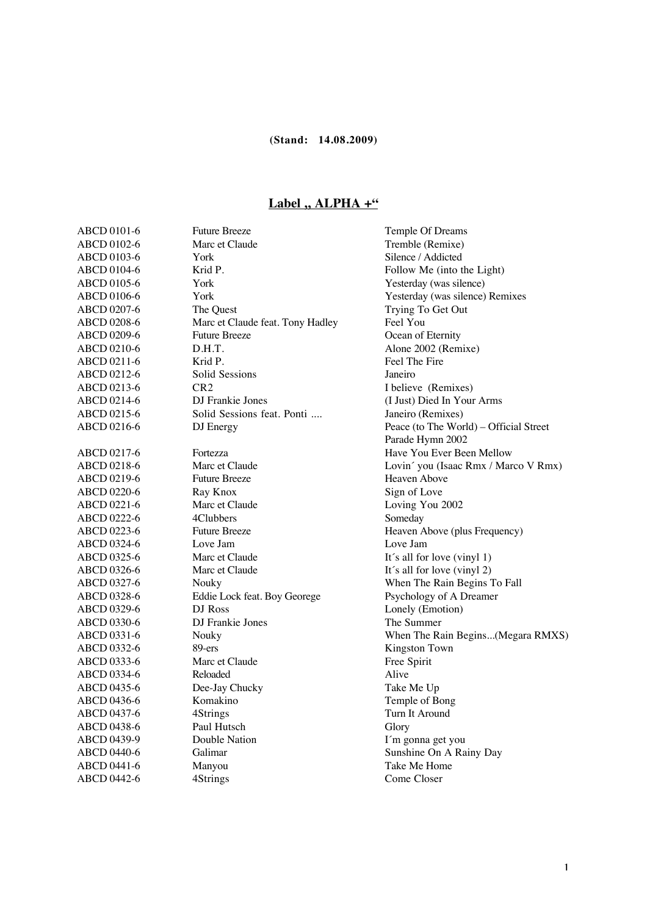## Label ,, ALPHA +"

| ABCD 0101-6        | <b>Future Breeze</b>             | Temple Of Dreams                       |
|--------------------|----------------------------------|----------------------------------------|
| ABCD 0102-6        | Marc et Claude                   | Tremble (Remixe)                       |
| ABCD 0103-6        | York                             | Silence / Addicted                     |
| ABCD 0104-6        | Krid P.                          | Follow Me (into the Light)             |
| ABCD 0105-6        | York                             | Yesterday (was silence)                |
| ABCD 0106-6        | York                             | Yesterday (was silence) Remixes        |
| ABCD 0207-6        | The Quest                        | Trying To Get Out                      |
| ABCD 0208-6        | Marc et Claude feat. Tony Hadley | Feel You                               |
| ABCD 0209-6        | <b>Future Breeze</b>             | Ocean of Eternity                      |
| ABCD 0210-6        | D.H.T.                           | Alone 2002 (Remixe)                    |
| ABCD 0211-6        | Krid P.                          | Feel The Fire                          |
| ABCD 0212-6        | Solid Sessions                   | Janeiro                                |
| ABCD 0213-6        | CR <sub>2</sub>                  | I believe (Remixes)                    |
| ABCD 0214-6        | DJ Frankie Jones                 | (I Just) Died In Your Arms             |
| ABCD 0215-6        | Solid Sessions feat. Ponti       | Janeiro (Remixes)                      |
| ABCD 0216-6        | DJ Energy                        | Peace (to The World) - Official Street |
|                    |                                  | Parade Hymn 2002                       |
| ABCD 0217-6        | Fortezza                         | Have You Ever Been Mellow              |
| ABCD 0218-6        | Marc et Claude                   | Lovin' you (Isaac Rmx / Marco V Rmx)   |
| ABCD 0219-6        | <b>Future Breeze</b>             | Heaven Above                           |
| ABCD 0220-6        | Ray Knox                         | Sign of Love                           |
| ABCD 0221-6        | Marc et Claude                   | Loving You 2002                        |
| ABCD 0222-6        | 4Clubbers                        | Someday                                |
| ABCD 0223-6        | <b>Future Breeze</b>             | Heaven Above (plus Frequency)          |
| ABCD 0324-6        | Love Jam                         | Love Jam                               |
| ABCD 0325-6        | Marc et Claude                   | It's all for love (vinyl 1)            |
| ABCD 0326-6        | Marc et Claude                   | It's all for love (vinyl 2)            |
| ABCD 0327-6        | Nouky                            | When The Rain Begins To Fall           |
| ABCD 0328-6        | Eddie Lock feat. Boy Georege     | Psychology of A Dreamer                |
| ABCD 0329-6        | DJ Ross                          | Lonely (Emotion)                       |
| ABCD 0330-6        | DJ Frankie Jones                 | The Summer                             |
| ABCD 0331-6        | Nouky                            | When The Rain Begins(Megara RMXS)      |
| ABCD 0332-6        | 89-ers                           | Kingston Town                          |
| ABCD 0333-6        | Marc et Claude                   | Free Spirit                            |
| ABCD 0334-6        | Reloaded                         | Alive                                  |
| ABCD 0435-6        | Dee-Jay Chucky                   | Take Me Up                             |
| ABCD 0436-6        | Komakino                         | Temple of Bong                         |
| ABCD 0437-6        | 4Strings                         | Turn It Around                         |
| ABCD 0438-6        | Paul Hutsch                      | Glory                                  |
| ABCD 0439-9        | Double Nation                    | I'm gonna get you                      |
| <b>ABCD 0440-6</b> | Galimar                          | Sunshine On A Rainy Day                |
| ABCD 0441-6        | Manyou                           | Take Me Home                           |
| <b>ABCD 0442-6</b> | 4Strings                         | Come Closer                            |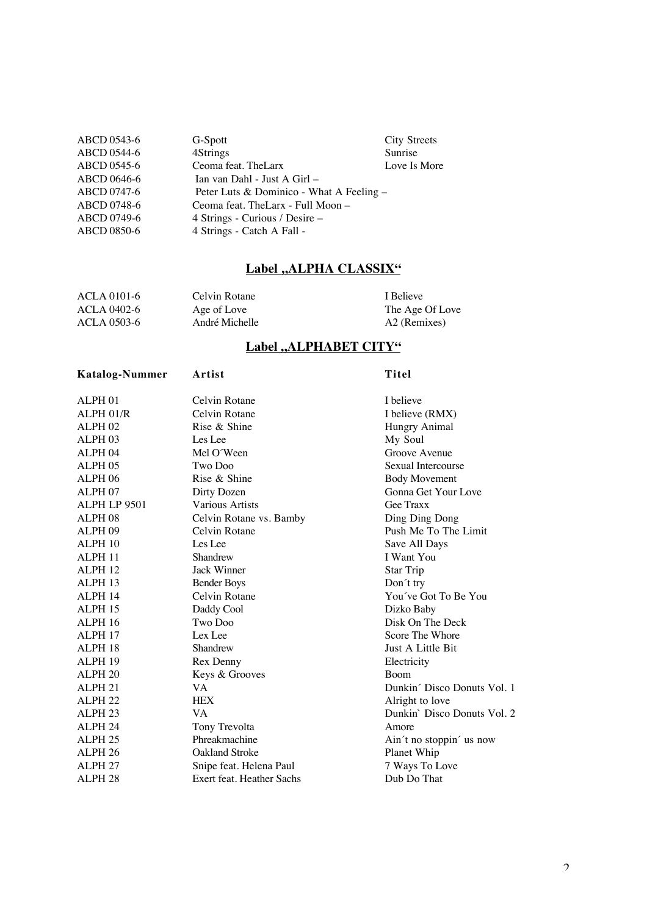| ABCD 0543-6 | G-Spott                                  | <b>City Streets</b> |
|-------------|------------------------------------------|---------------------|
| ABCD 0544-6 | 4Strings                                 | Sunrise             |
| ABCD 0545-6 | Ceoma feat. The Larx                     | Love Is More        |
| ABCD 0646-6 | Ian van Dahl - Just A Girl –             |                     |
| ABCD 0747-6 | Peter Luts & Dominico - What A Feeling - |                     |
| ABCD 0748-6 | Ceoma feat. The Larx - Full Moon -       |                     |
| ABCD 0749-6 | 4 Strings - Curious / Desire –           |                     |
| ABCD 0850-6 | 4 Strings - Catch A Fall -               |                     |

## Label "ALPHA CLASSIX"

| ACLA 0101-6 | Celvin Rotane  | I Believe       |
|-------------|----------------|-----------------|
| ACLA 0402-6 | Age of Love    | The Age Of Love |
| ACLA 0503-6 | André Michelle | A2 (Remixes)    |

## Label "ALPHABET CITY"

| <b>Katalog-Nummer</b> | Artist                    | Titel                       |
|-----------------------|---------------------------|-----------------------------|
| ALPH <sub>01</sub>    | Celvin Rotane             | I believe                   |
| ALPH 01/R             | Celvin Rotane             | I believe (RMX)             |
| <b>ALPH 02</b>        | Rise & Shine              | Hungry Animal               |
| ALPH <sub>03</sub>    | Les Lee                   | My Soul                     |
| ALPH <sub>04</sub>    | Mel O'Ween                | Groove Avenue               |
| ALPH <sub>05</sub>    | Two Doo                   | Sexual Intercourse          |
| ALPH <sub>06</sub>    | Rise & Shine              | <b>Body Movement</b>        |
| ALPH <sub>07</sub>    | Dirty Dozen               | Gonna Get Your Love         |
| ALPH LP 9501          | Various Artists           | Gee Traxx                   |
| ALPH <sub>08</sub>    | Celvin Rotane vs. Bamby   | Ding Ding Dong              |
| ALPH <sub>09</sub>    | Celvin Rotane             | Push Me To The Limit        |
| ALPH 10               | Les Lee                   | Save All Days               |
| ALPH <sub>11</sub>    | Shandrew                  | I Want You                  |
| ALPH <sub>12</sub>    | Jack Winner               | Star Trip                   |
| ALPH <sub>13</sub>    | <b>Bender Boys</b>        | Don't try                   |
| ALPH <sub>14</sub>    | Celvin Rotane             | You've Got To Be You        |
| ALPH <sub>15</sub>    | Daddy Cool                | Dizko Baby                  |
| ALPH 16               | Two Doo                   | Disk On The Deck            |
| ALPH <sub>17</sub>    | Lex Lee                   | Score The Whore             |
| ALPH <sub>18</sub>    | Shandrew                  | Just A Little Bit           |
| ALPH <sub>19</sub>    | Rex Denny                 | Electricity                 |
| ALPH <sub>20</sub>    | Keys & Grooves            | <b>Boom</b>                 |
| ALPH <sub>21</sub>    | VA.                       | Dunkin' Disco Donuts Vol. 1 |
| ALPH <sub>22</sub>    | <b>HEX</b>                | Alright to love             |
| ALPH <sub>23</sub>    | VA.                       | Dunkin' Disco Donuts Vol. 2 |
| ALPH <sub>24</sub>    | Tony Trevolta             | Amore                       |
| ALPH <sub>25</sub>    | Phreakmachine             | Ain't no stoppin' us now    |
| ALPH <sub>26</sub>    | <b>Oakland Stroke</b>     | Planet Whip                 |
| ALPH <sub>27</sub>    | Snipe feat. Helena Paul   | 7 Ways To Love              |
| ALPH <sub>28</sub>    | Exert feat. Heather Sachs | Dub Do That                 |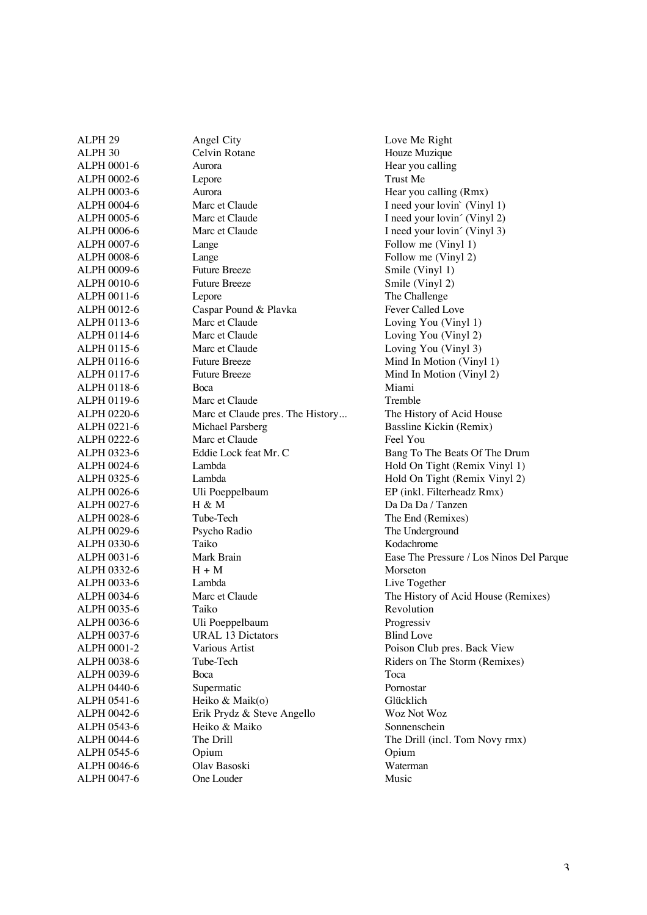| ALPH <sub>29</sub> | Angel City                       | Love Me Right          |
|--------------------|----------------------------------|------------------------|
| ALPH 30            | Celvin Rotane                    | Houze Muzique          |
| ALPH 0001-6        | Aurora                           | Hear you calling       |
| ALPH 0002-6        | Lepore                           | Trust Me               |
| ALPH 0003-6        | Aurora                           | Hear you calling       |
| ALPH 0004-6        | Marc et Claude                   | I need your lovi       |
| ALPH 0005-6        | Marc et Claude                   | I need your lovi       |
| ALPH 0006-6        | Marc et Claude                   | I need your lovi       |
| ALPH 0007-6        | Lange                            | Follow me (Vir         |
| ALPH 0008-6        | Lange                            | Follow me (Vir         |
| ALPH 0009-6        | <b>Future Breeze</b>             | Smile (Vinyl 1)        |
| ALPH 0010-6        | <b>Future Breeze</b>             | Smile (Vinyl 2)        |
| ALPH 0011-6        | Lepore                           | The Challenge          |
| ALPH 0012-6        | Caspar Pound & Plavka            | Fever Called Lo        |
| ALPH 0113-6        | Marc et Claude                   | Loving You (V          |
| ALPH 0114-6        | Marc et Claude                   | Loving You (V          |
| ALPH 0115-6        | Marc et Claude                   | Loving You (V          |
| ALPH 0116-6        | <b>Future Breeze</b>             | Mind In Motior         |
| ALPH 0117-6        | <b>Future Breeze</b>             | Mind In Motior         |
| ALPH 0118-6        | Boca                             | Miami                  |
| ALPH 0119-6        | Marc et Claude                   | Tremble                |
| ALPH 0220-6        | Marc et Claude pres. The History | The History of A       |
| ALPH 0221-6        | Michael Parsberg                 | <b>Bassline Kickin</b> |
| ALPH 0222-6        | Marc et Claude                   | Feel You               |
| ALPH 0323-6        | Eddie Lock feat Mr. C            | Bang To The Be         |
| ALPH 0024-6        | Lambda                           | Hold On Tight          |
| ALPH 0325-6        | Lambda                           | Hold On Tight          |
| ALPH 0026-6        | Uli Poeppelbaum                  | EP (inkl. Filterh      |
| ALPH 0027-6        | H & M                            | Da Da Da / Tan         |
| ALPH 0028-6        | Tube-Tech                        | The End (Remix         |
| ALPH 0029-6        | Psycho Radio                     | The Undergroun         |
| ALPH 0330-6        | Taiko                            | Kodachrome             |
| ALPH 0031-6        | Mark Brain                       | Ease The Pressu        |
| ALPH 0332-6        | $H + M$                          | Morseton               |
| ALPH 0033-6        | Lambda                           | Live Together          |
| ALPH 0034-6        | Marc et Claude                   | The History of A       |
| ALPH 0035-6        | Taiko                            | Revolution             |
| ALPH 0036-6        | Uli Poeppelbaum                  | Progressiv             |
| ALPH 0037-6        | <b>URAL 13 Dictators</b>         | <b>Blind Love</b>      |
| ALPH 0001-2        | Various Artist                   | Poison Club pre        |
| ALPH 0038-6        | Tube-Tech                        | Riders on The S        |
| ALPH 0039-6        | Boca                             | Toca                   |
| ALPH 0440-6        | Supermatic                       | Pornostar              |
| ALPH 0541-6        | Heiko & Maik(o)                  | Glücklich              |
| ALPH 0042-6        | Erik Prydz & Steve Angello       | Woz Not Woz            |
| ALPH 0543-6        | Heiko & Maiko                    | Sonnenschein           |
| ALPH 0044-6        | The Drill                        | The Drill (incl.       |
| ALPH 0545-6        | Opium                            | Opium                  |
| ALPH 0046-6        | Olav Basoski                     | Waterman               |
| ALPH 0047-6        | One Louder                       | Music                  |
|                    |                                  |                        |

Houze Muzique Hear you calling<br>Trust Me Hear you calling (Rmx) I need your lovin` (Vinyl 1) I need your lovin´ (Vinyl 2) I need your lovin´ (Vinyl 3) Follow me (Vinyl 1) Follow me (Vinyl 2) Smile (Vinyl 1) Smile (Vinyl 2) The Challenge Fever Called Love Loving You (Vinyl 1) Loving You (Vinyl 2) Loving You (Vinyl 3) Mind In Motion (Vinyl 1) Mind In Motion (Vinyl 2) ALPH 0220-6 March 2020-6 March 2020-6 March 2020-6 Marc et al. The History of Acid House Bassline Kickin (Remix) Bang To The Beats Of The Drum Hold On Tight (Remix Vinyl 1) Hold On Tight (Remix Vinyl 2) EP (inkl. Filterheadz Rmx) Da Da Da / Tanzen The End (Remixes) The Underground Kodachrome Ease The Pressure / Los Ninos Del Parque **Morseton** Live Together The History of Acid House (Remixes) Revolution Progressiv **Blind Love** Poison Club pres. Back View Riders on The Storm (Remixes) Woz Not Woz Sonnenschein The Drill (incl. Tom Novy rmx)<br>Opium Waterman<br>Music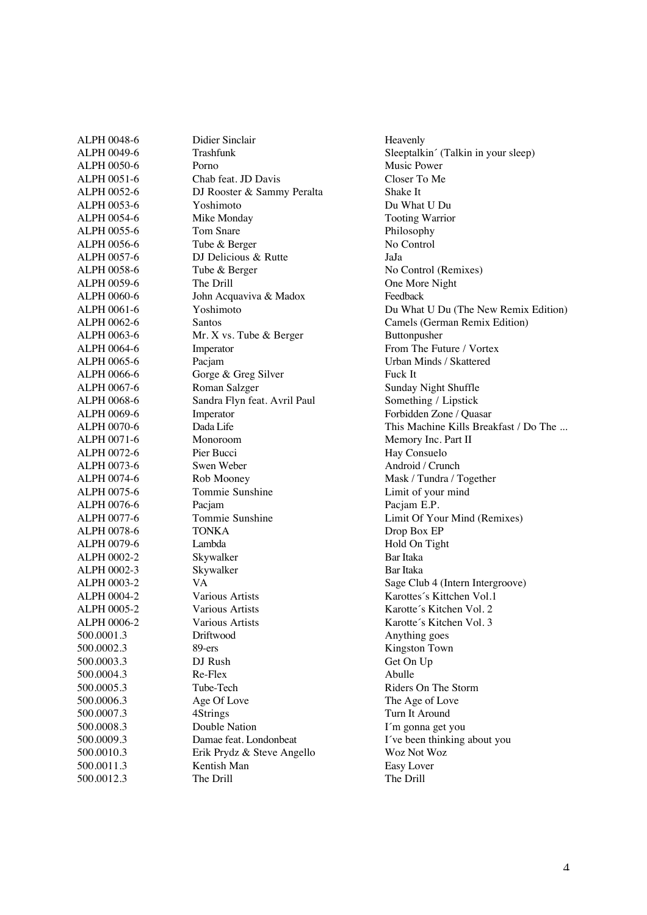| ALPH 0048-6 | Didier Sinclair              | Heavenly              |
|-------------|------------------------------|-----------------------|
| ALPH 0049-6 | <b>Trashfunk</b>             | Sleeptalk             |
| ALPH 0050-6 | Porno                        | Music Po              |
| ALPH 0051-6 | Chab feat. JD Davis          | Closer To             |
| ALPH 0052-6 | DJ Rooster & Sammy Peralta   | Shake It              |
| ALPH 0053-6 | Yoshimoto                    | Du What               |
| ALPH 0054-6 | Mike Monday                  | Tooting \             |
| ALPH 0055-6 | Tom Snare                    | Philosopl             |
| ALPH 0056-6 | Tube & Berger                | No Conti              |
| ALPH 0057-6 | DJ Delicious & Rutte         | JaJa                  |
| ALPH 0058-6 | Tube & Berger                | No Contr              |
| ALPH 0059-6 | The Drill                    | One Mor               |
| ALPH 0060-6 | John Acquaviva & Madox       | Feedback              |
| ALPH 0061-6 | Yoshimoto                    | Du What               |
| ALPH 0062-6 | Santos                       | Camels (              |
| ALPH 0063-6 | Mr. X vs. Tube & Berger      | Buttonpu              |
| ALPH 0064-6 | Imperator                    | From The              |
| ALPH 0065-6 | Pacjam                       | Urban M               |
| ALPH 0066-6 | Gorge & Greg Silver          | Fuck It               |
| ALPH 0067-6 | Roman Salzger                | Sunday N              |
| ALPH 0068-6 | Sandra Flyn feat. Avril Paul | Somethin              |
| ALPH 0069-6 | Imperator                    | Forbidder             |
| ALPH 0070-6 | Dada Life                    | This Mac              |
| ALPH 0071-6 | Monoroom                     | Memory                |
| ALPH 0072-6 | Pier Bucci                   | Hay Con               |
| ALPH 0073-6 | Swen Weber                   | Android /             |
| ALPH 0074-6 | Rob Mooney                   | Mask / $T_1$          |
| ALPH 0075-6 | Tommie Sunshine              | Limit of              |
| ALPH 0076-6 | Pacjam                       | Pacjam E              |
| ALPH 0077-6 | Tommie Sunshine              | Limit Of              |
| ALPH 0078-6 | <b>TONKA</b>                 | Drop Box              |
| ALPH 0079-6 | Lambda                       | Hold On               |
| ALPH 0002-2 | Skywalker                    | Bar Itaka             |
| ALPH 0002-3 | Skywalker                    | Bar Itaka             |
| ALPH 0003-2 | <b>VA</b>                    | Sage Clu              |
| ALPH 0004-2 | Various Artists              | Karottes <sup>2</sup> |
| ALPH 0005-2 | Various Artists              | Karotte's             |
| ALPH 0006-2 | Various Artists              | Karotte's             |
| 500.0001.3  | Driftwood                    | Anything              |
| 500.0002.3  | 89-ers                       | Kingston              |
| 500.0003.3  | DJ Rush                      | Get On U              |
| 500.0004.3  | Re-Flex                      | Abulle                |
| 500.0005.3  | Tube-Tech                    | Riders Of             |
| 500.0006.3  | Age Of Love                  | The Age               |
| 500.0007.3  | 4Strings                     | Turn It A             |
| 500.0008.3  | Double Nation                | I'm gonn              |
| 500.0009.3  | Damae feat. Londonbeat       | I've been             |
| 500.0010.3  | Erik Prydz & Steve Angello   | Woz Not               |
| 500.0011.3  | Kentish Man                  | Easy Lov              |
| 500.0012.3  | The Drill                    | The Drill             |
|             |                              |                       |

Sleeptalkin´ (Talkin in your sleep) Music Power Closer To Me Du What U Du Tooting Warrior Philosophy No Control No Control (Remixes) One More Night Du What U Du (The New Remix Edition) Camels (German Remix Edition) Buttonpusher From The Future / Vortex Urban Minds / Skattered<br>Fuck It Sunday Night Shuffle Something / Lipstick Forbidden Zone / Quasar This Machine Kills Breakfast / Do The ... Memory Inc. Part II Hay Consuelo Android / Crunch Mask / Tundra / Together Limit of your mind Pacjam E.P. Limit Of Your Mind (Remixes) Drop Box EP Hold On Tight<br>Bar Itaka Sage Club 4 (Intern Intergroove) Karottes´s Kittchen Vol.1 Karotte's Kitchen Vol. 2 Karotte's Kitchen Vol. 3 Anything goes Kingston Town Get On Up<br>Abulle Riders On The Storm The Age of Love Turn It Around I'm gonna get you I've been thinking about you Woz Not Woz Easy Lover<br>The Drill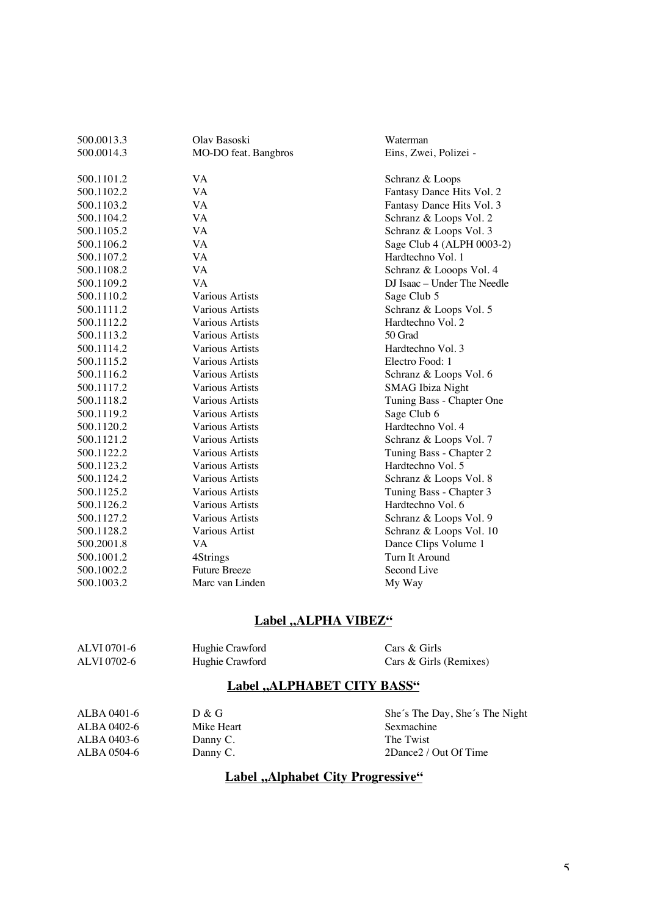| 500.0013.3 | Olav Basoski           | Waterman                    |
|------------|------------------------|-----------------------------|
| 500.0014.3 | MO-DO feat. Bangbros   | Eins, Zwei, Polizei -       |
| 500.1101.2 | VA                     | Schranz & Loops             |
| 500.1102.2 | <b>VA</b>              | Fantasy Dance Hits Vol. 2   |
| 500.1103.2 | VA                     | Fantasy Dance Hits Vol. 3   |
| 500.1104.2 | VA                     | Schranz & Loops Vol. 2      |
| 500.1105.2 | <b>VA</b>              | Schranz & Loops Vol. 3      |
| 500.1106.2 | <b>VA</b>              | Sage Club 4 (ALPH 0003-2)   |
| 500.1107.2 | VA                     | Hardtechno Vol. 1           |
| 500.1108.2 | VA                     | Schranz & Looops Vol. 4     |
| 500.1109.2 | <b>VA</b>              | DJ Isaac - Under The Needle |
| 500.1110.2 | <b>Various Artists</b> | Sage Club 5                 |
| 500.1111.2 | <b>Various Artists</b> | Schranz & Loops Vol. 5      |
| 500.1112.2 | <b>Various Artists</b> | Hardtechno Vol. 2           |
| 500.1113.2 | Various Artists        | 50 Grad                     |
| 500.1114.2 | Various Artists        | Hardtechno Vol. 3           |
| 500.1115.2 | <b>Various Artists</b> | Electro Food: 1             |
| 500.1116.2 | Various Artists        | Schranz & Loops Vol. 6      |
| 500.1117.2 | <b>Various Artists</b> | <b>SMAG</b> Ibiza Night     |
| 500.1118.2 | Various Artists        | Tuning Bass - Chapter One   |
| 500.1119.2 | Various Artists        | Sage Club 6                 |
| 500.1120.2 | <b>Various Artists</b> | Hardtechno Vol. 4           |
| 500.1121.2 | <b>Various Artists</b> | Schranz & Loops Vol. 7      |
| 500.1122.2 | <b>Various Artists</b> | Tuning Bass - Chapter 2     |
| 500.1123.2 | Various Artists        | Hardtechno Vol. 5           |
| 500.1124.2 | Various Artists        | Schranz & Loops Vol. 8      |
| 500.1125.2 | <b>Various Artists</b> | Tuning Bass - Chapter 3     |
| 500.1126.2 | <b>Various Artists</b> | Hardtechno Vol. 6           |
| 500.1127.2 | <b>Various Artists</b> | Schranz & Loops Vol. 9      |
| 500.1128.2 | Various Artist         | Schranz & Loops Vol. 10     |
| 500.2001.8 | VA                     | Dance Clips Volume 1        |
| 500.1001.2 | 4Strings               | Turn It Around              |
| 500.1002.2 | <b>Future Breeze</b>   | Second Live                 |
| 500.1003.2 | Marc van Linden        | My Way                      |
|            |                        |                             |

## **Label ,,ALPHA VIBEZ"**

| ALVI 0701-6<br>ALVI 0702-6                              | Hughie Crawford<br>Hughie Crawford | Cars & Girls<br>Cars & Girls (Remixes)           |
|---------------------------------------------------------|------------------------------------|--------------------------------------------------|
| Label "ALPHABET CITY BASS"                              |                                    |                                                  |
| $\Lambda$ T D $\Lambda$ $\Lambda$ $\Lambda$ 1 $\Lambda$ | $D \Omega C$                       | $Ch_2/\epsilon$ The Develope $Ch_2/\epsilon$ The |

| ALBA 0401-6 | D & G      | She's The Day, She's The Night |
|-------------|------------|--------------------------------|
| ALBA 0402-6 | Mike Heart | Sexmachine                     |
| ALBA 0403-6 | Danny C.   | The Twist                      |
| ALBA 0504-6 | Danny C.   | 2Dance2 / Out Of Time          |
|             |            |                                |

## **Label ,,Alphabet City Progressive"**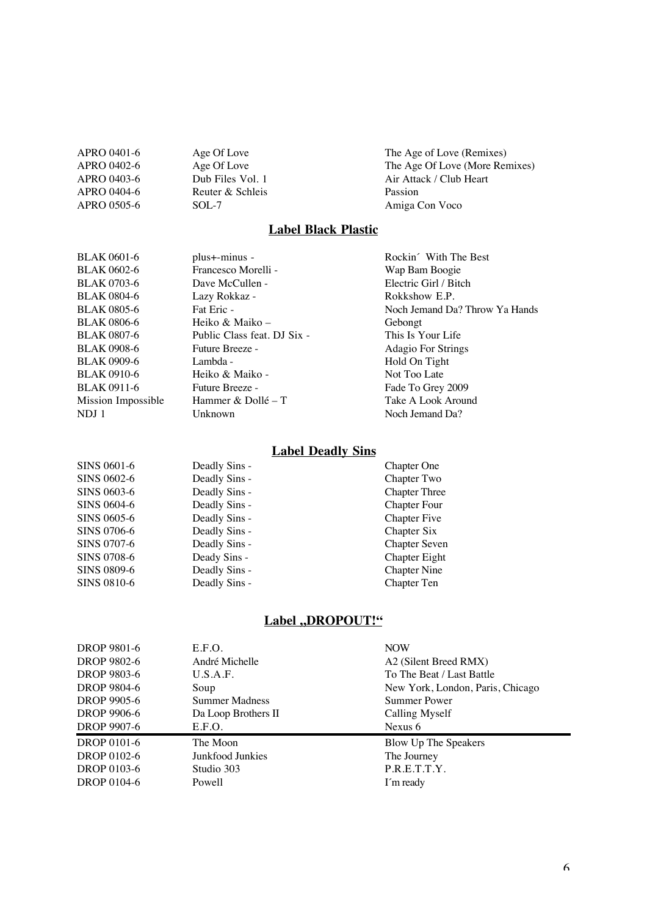| APRO 0401-6 | Age Of Love      | The Age of Love (Remixes)      |
|-------------|------------------|--------------------------------|
| APRO 0402-6 | Age Of Love      | The Age Of Love (More Remixes) |
| APRO 0403-6 | Dub Files Vol. 1 | Air Attack / Club Heart        |
| APRO 0404-6 | Reuter & Schleis | Passion                        |
| APRO 0505-6 | $SOL-7$          | Amiga Con Voco                 |
|             |                  |                                |

## **Label Black Plastic**

| BLAK 0601-6        | plus+-minus -               | Rockin With The Best           |
|--------------------|-----------------------------|--------------------------------|
| <b>BLAK 0602-6</b> | Francesco Morelli -         | Wap Bam Boogie                 |
| <b>BLAK 0703-6</b> | Dave McCullen -             | Electric Girl / Bitch          |
| BLAK 0804-6        | Lazy Rokkaz -               | Rokkshow E.P.                  |
| BLAK 0805-6        | Fat Eric -                  | Noch Jemand Da? Throw Ya Hands |
| BLAK 0806-6        | Heiko & Maiko –             | Gebongt                        |
| BLAK 0807-6        | Public Class feat. DJ Six - | This Is Your Life              |
| <b>BLAK 0908-6</b> | Future Breeze -             | Adagio For Strings             |
| <b>BLAK 0909-6</b> | Lambda -                    | Hold On Tight                  |
| BLAK 0910-6        | Heiko & Maiko -             | Not Too Late                   |
| BLAK 0911-6        | Future Breeze -             | Fade To Grey 2009              |
| Mission Impossible | Hammer & Dollé – T          | Take A Look Around             |
| NDJ 1              | Unknown                     | Noch Jemand Da?                |
|                    |                             |                                |

#### **Label Deadly Sins**

| SINS 0601-6        | Deadly Sins - | <b>Chapter One</b>   |
|--------------------|---------------|----------------------|
| SINS 0602-6        | Deadly Sins - | Chapter Two          |
| <b>SINS 0603-6</b> | Deadly Sins - | <b>Chapter Three</b> |
| SINS 0604-6        | Deadly Sins - | <b>Chapter Four</b>  |
| SINS 0605-6        | Deadly Sins - | <b>Chapter Five</b>  |
| <b>SINS 0706-6</b> | Deadly Sins - | Chapter Six          |
| SINS 0707-6        | Deadly Sins - | <b>Chapter Seven</b> |
| <b>SINS 0708-6</b> | Deady Sins -  | Chapter Eight        |
| <b>SINS 0809-6</b> | Deadly Sins - | <b>Chapter Nine</b>  |
| SINS 0810-6        | Deadly Sins - | Chapter Ten          |
|                    |               |                      |

## **Label ,,DROPOUT!"**

| DROP 9801-6 | E.F.O.                | <b>NOW</b>                       |
|-------------|-----------------------|----------------------------------|
| DROP 9802-6 | André Michelle        | A2 (Silent Breed RMX)            |
| DROP 9803-6 | U.S.A.F.              | To The Beat / Last Battle        |
| DROP 9804-6 | Soup                  | New York, London, Paris, Chicago |
| DROP 9905-6 | <b>Summer Madness</b> | Summer Power                     |
| DROP 9906-6 | Da Loop Brothers II   | Calling Myself                   |
| DROP 9907-6 | E.F.O.                | Nexus $6$                        |
| DROP 0101-6 | The Moon              | Blow Up The Speakers             |
| DROP 0102-6 | Junkfood Junkies      | The Journey                      |
| DROP 0103-6 | Studio 303            | P.R.E.T.T.Y.                     |
| DROP 0104-6 | Powell                | I'm ready                        |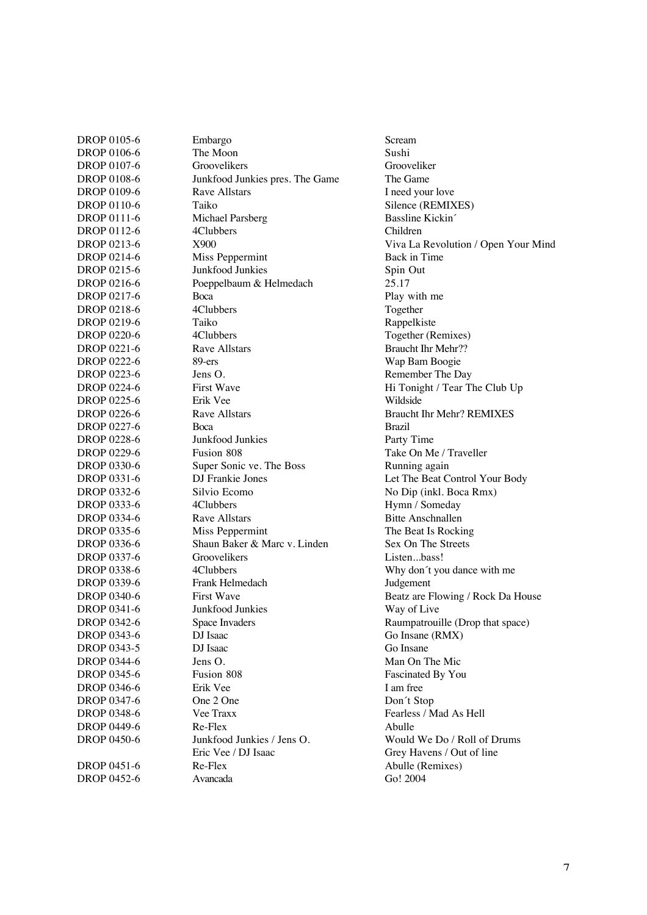| DROP 0105-6        | Embargo                         | Scream               |
|--------------------|---------------------------------|----------------------|
| DROP 0106-6        | The Moon                        | Sushi                |
| DROP 0107-6        | Groovelikers                    | Groovelik            |
| DROP 0108-6        | Junkfood Junkies pres. The Game | The Gam              |
| DROP 0109-6        | <b>Rave Allstars</b>            | I need you           |
| DROP 0110-6        | Taiko                           | Silence (I           |
| DROP 0111-6        | Michael Parsberg                | Bassline I           |
| DROP 0112-6        | 4Clubbers                       | Children             |
| DROP 0213-6        | X900                            | Viva La I            |
| DROP 0214-6        | Miss Peppermint                 | Back in T            |
| DROP 0215-6        | Junkfood Junkies                | Spin Out             |
| DROP 0216-6        | Poeppelbaum & Helmedach         | 25.17                |
| DROP 0217-6        | Boca                            | Play with            |
| DROP 0218-6        | 4Clubbers                       | Together             |
| DROP 0219-6        | Taiko                           | Rappelkis            |
| DROP 0220-6        | 4Clubbers                       | Together             |
| DROP 0221-6        | Rave Allstars                   | <b>Braucht II</b>    |
| DROP 0222-6        | $89$ -ers                       | Wap Bam              |
| DROP 0223-6        | Jens O.                         | Remembe              |
| DROP 0224-6        | First Wave                      | Hi Tonigl            |
| DROP 0225-6        | Erik Vee                        | Wildside             |
| DROP 0226-6        | <b>Rave Allstars</b>            | <b>Braucht</b> I     |
| DROP 0227-6        | <b>Boca</b>                     | <b>Brazil</b>        |
| DROP 0228-6        | Junkfood Junkies                | Party Tin            |
| DROP 0229-6        | Fusion 808                      | Take On 1            |
| DROP 0330-6        | Super Sonic ve. The Boss        | Running              |
| DROP 0331-6        | DJ Frankie Jones                | Let The E            |
| DROP 0332-6        | Silvio Ecomo                    | No Dip (i            |
| DROP 0333-6        | 4Clubbers                       | Hymn $/ S$           |
| DROP 0334-6        | Rave Allstars                   | <b>Bitte Ans</b>     |
| DROP 0335-6        | Miss Peppermint                 | The Beat             |
| DROP 0336-6        | Shaun Baker & Marc v. Linden    | Sex On T             |
| DROP 0337-6        | Groovelikers                    | Listenb              |
| DROP 0338-6        | 4Clubbers                       | Why don <sup>®</sup> |
| DROP 0339-6        | Frank Helmedach                 | Judgemen             |
| <b>DROP 0340-6</b> | <b>First Wave</b>               | Beatz are            |
| DROP 0341-6        | Junkfood Junkies                | Way of L             |
| DROP 0342-6        | Space Invaders                  | Raumpatı             |
| DROP 0343-6        | DJ Isaac                        | Go Insane            |
| DROP 0343-5        | DJ Isaac                        | Go Insane            |
| DROP 0344-6        | Jens O.                         | Man On 7             |
| DROP 0345-6        | Fusion 808                      | Fascinate            |
| DROP 0346-6        | Erik Vee                        | I am free            |
| DROP 0347-6        | One 2 One                       | Don't Sto            |
| DROP 0348-6        | Vee Traxx                       | Fearless /           |
| DROP 0449-6        | Re-Flex                         | Abulle               |
| <b>DROP 0450-6</b> | Junkfood Junkies / Jens O.      | Would W              |
|                    | Eric Vee / DJ Isaac             | Grey Hav             |
| DROP 0451-6        | Re-Flex                         | Abulle (R            |
| DROP 0452-6        | Avancada                        | Go! 2004             |
|                    |                                 |                      |

Grooveliker The Game I need your love Silence (REMIXES) Bassline Kickin´ Viva La Revolution / Open Your Mind Back in Time<br>Spin Out Play with me Together Rappelkiste Together (Remixes) Braucht Ihr Mehr?? Wap Bam Boogie Remember The Day Hi Tonight / Tear The Club Up<br>Wildside Braucht Ihr Mehr? REMIXES Party Time Take On Me / Traveller Running again Let The Beat Control Your Body No Dip (inkl. Boca Rmx) Hymn / Someday Bitte Anschnallen The Beat Is Rocking Sex On The Streets Listen...bass! Why don't you dance with me Judgement Beatz are Flowing / Rock Da House Way of Live Raumpatrouille (Drop that space) Go Insane (RMX) Go Insane Man On The Mic Fascinated By You<br>I am free Don't Stop Fearless / Mad As Hell Would We Do / Roll of Drums Grey Havens / Out of line Abulle (Remixes)<br>Go! 2004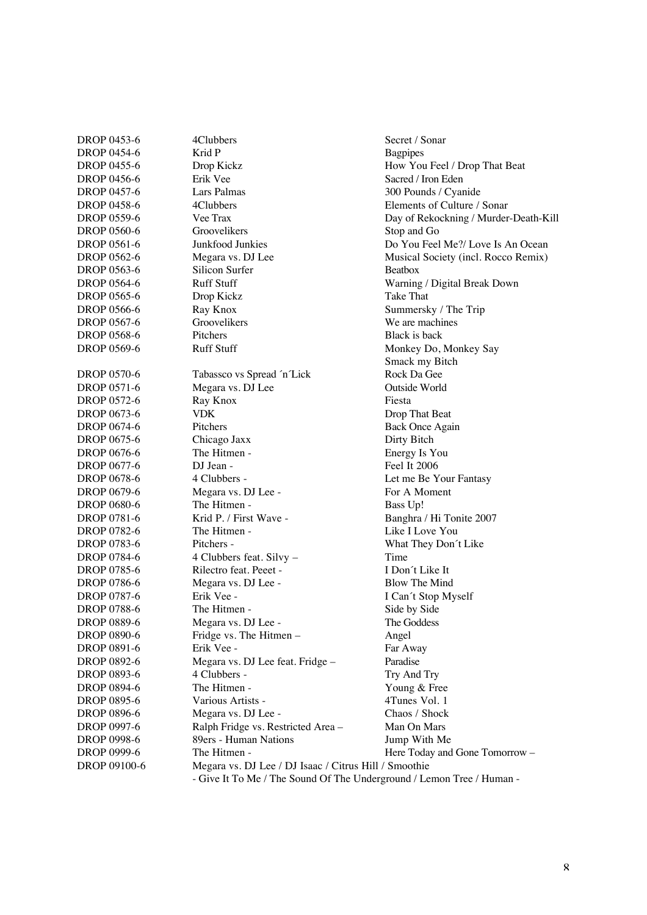| DROP 0453-6        | 4Clubbers                                                             | Secret / Sonar                        |
|--------------------|-----------------------------------------------------------------------|---------------------------------------|
| <b>DROP 0454-6</b> | Krid P                                                                | <b>Bagpipes</b>                       |
| DROP 0455-6        | Drop Kickz                                                            | How You Feel / Drop That Beat         |
| DROP 0456-6        | Erik Vee                                                              | Sacred / Iron Eden                    |
| DROP 0457-6        | Lars Palmas                                                           | 300 Pounds / Cyanide                  |
| <b>DROP 0458-6</b> | 4Clubbers                                                             | Elements of Culture / Sonar           |
| DROP 0559-6        | Vee Trax                                                              | Day of Rekockning / Murder-Death-Kill |
| <b>DROP 0560-6</b> | Groovelikers                                                          | Stop and Go                           |
| DROP 0561-6        | Junkfood Junkies                                                      | Do You Feel Me?/ Love Is An Ocean     |
| <b>DROP 0562-6</b> | Megara vs. DJ Lee                                                     | Musical Society (incl. Rocco Remix)   |
| DROP 0563-6        | Silicon Surfer                                                        | Beatbox                               |
| <b>DROP 0564-6</b> | <b>Ruff Stuff</b>                                                     | Warning / Digital Break Down          |
| DROP 0565-6        | Drop Kickz                                                            | Take That                             |
| <b>DROP 0566-6</b> | Ray Knox                                                              | Summersky / The Trip                  |
| DROP 0567-6        | Groovelikers                                                          | We are machines                       |
| <b>DROP 0568-6</b> | Pitchers                                                              | Black is back                         |
| <b>DROP 0569-6</b> | <b>Ruff Stuff</b>                                                     | Monkey Do, Monkey Say                 |
|                    |                                                                       | Smack my Bitch                        |
| <b>DROP 0570-6</b> | Tabassco vs Spread 'n'Lick                                            | Rock Da Gee                           |
| DROP 0571-6        | Megara vs. DJ Lee                                                     | Outside World                         |
| DROP 0572-6        | Ray Knox                                                              | Fiesta                                |
| DROP 0673-6        | <b>VDK</b>                                                            | Drop That Beat                        |
| DROP 0674-6        | Pitchers                                                              | <b>Back Once Again</b>                |
| DROP 0675-6        | Chicago Jaxx                                                          | Dirty Bitch                           |
| DROP 0676-6        | The Hitmen -                                                          | Energy Is You                         |
| DROP 0677-6        | DJ Jean -                                                             | Feel It 2006                          |
| DROP 0678-6        | 4 Clubbers -                                                          | Let me Be Your Fantasy                |
| DROP 0679-6        | Megara vs. DJ Lee -                                                   | For A Moment                          |
| <b>DROP 0680-6</b> | The Hitmen -                                                          | Bass Up!                              |
| DROP 0781-6        | Krid P. / First Wave -                                                | Banghra / Hi Tonite 2007              |
| DROP 0782-6        | The Hitmen -                                                          | Like I Love You                       |
| DROP 0783-6        | Pitchers -                                                            | What They Don't Like                  |
| DROP 0784-6        | 4 Clubbers feat. Silvy -                                              | Time                                  |
| DROP 0785-6        | Rilectro feat. Peeet -                                                | I Don't Like It                       |
| DROP 0786-6        | Megara vs. DJ Lee -                                                   | Blow The Mind                         |
| <b>DROP 0787-6</b> | Erik Vee -                                                            | I Can't Stop Myself                   |
| <b>DROP 0788-6</b> | The Hitmen -                                                          | Side by Side                          |
| DROP 0889-6        | Megara vs. DJ Lee -                                                   | The Goddess                           |
| <b>DROP 0890-6</b> | Fridge vs. The Hitmen -                                               | Angel                                 |
| DROP 0891-6        | Erik Vee -                                                            | Far Away                              |
| DROP 0892-6        | Megara vs. DJ Lee feat. Fridge -                                      | Paradise                              |
| DROP 0893-6        | 4 Clubbers -                                                          | Try And Try                           |
| <b>DROP 0894-6</b> | The Hitmen -                                                          | Young & Free                          |
| DROP 0895-6        | Various Artists -                                                     | 4Tunes Vol. 1                         |
| DROP 0896-6        | Megara vs. DJ Lee -                                                   | Chaos / Shock                         |
| DROP 0997-6        | Ralph Fridge vs. Restricted Area-                                     | Man On Mars                           |
| DROP 0998-6        | 89ers - Human Nations                                                 | Jump With Me                          |
| DROP 0999-6        | The Hitmen -                                                          | Here Today and Gone Tomorrow -        |
| DROP 09100-6       | Megara vs. DJ Lee / DJ Isaac / Citrus Hill / Smoothie                 |                                       |
|                    | - Give It To Me / The Sound Of The Underground / Lemon Tree / Human - |                                       |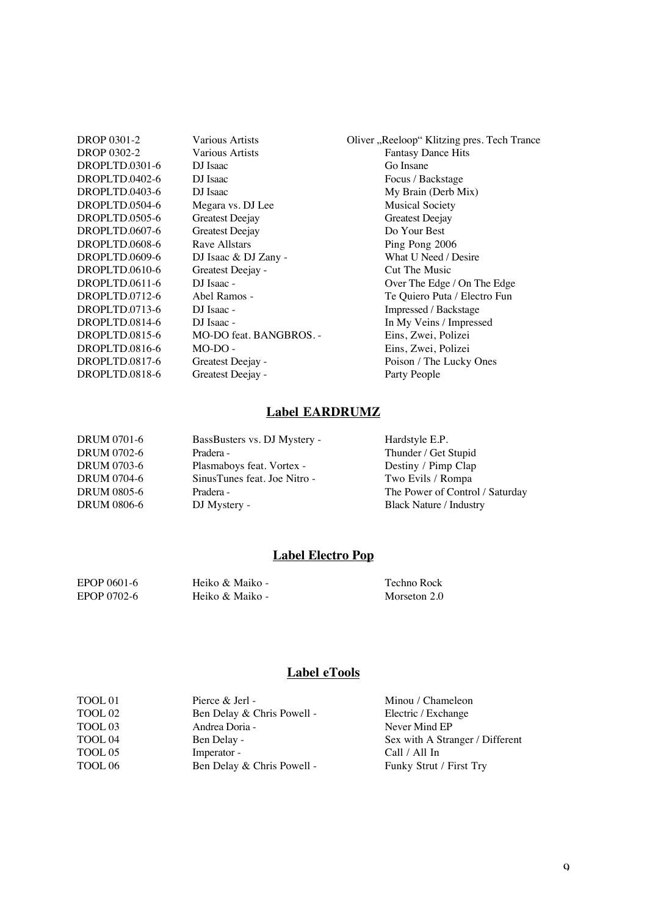| DROP 0301-2    |
|----------------|
| DROP 0302-2    |
| DROPLTD.0301-6 |
| DROPLTD.0402-6 |
| DROPLTD.0403-6 |
| DROPLTD.0504-6 |
| DROPLTD.0505-6 |
| DROPLTD.0607-6 |
| DROPLTD.0608-6 |
| DROPLTD.0609-6 |
| DROPLTD.0610-6 |
| DROPLTD.0611-6 |
| DROPLTD.0712-6 |
| DROPLTD.0713-6 |
| DROPLTD.0814-6 |
| DROPLTD.0815-6 |
| DROPLTD.0816-6 |
| DROPLTD.0817-6 |
| DROPLTD.0818-6 |

DJ Isaac Go Insane<br>
DJ Isaac Focus / Ba Megara vs. DJ Lee Musical Society<br>
Greatest Deejay Greatest Deejay Greatest Deejay Greatest Deejay Greatest Deejay Do Your Best Greatest Deejay<br>Rave Allstars DJ Isaac & DJ Zany - What U Need / I<br>Greatest Deejay - Cut The Music Greatest Deejay -<br>DJ Isaac -MO-DO feat. BANGBROS. -Greatest Deejay -

Various Artists **Oliver "Reeloop" Klitzing pres. Tech Trance** Various Artists Fantasy Dance Hits<br>DJ Isaac Go Insane Focus / Backstage DJ Isaac My Brain (Derb Mix) Ping Pong 2006<br>What U Need / Desire DJ Isaac - Over The Edge / On The Edge<br>Abel Ramos - Te Ouiero Puta / Electro Fun Abel Ramos - Te Quiero Puta / Electro Fun<br>DJ Isaac - Te Quiero Puta / Electro Fun<br>Impressed / Backstage DJ Isaac - Impressed / Backstage<br>
DJ Isaac - In My Veins / Impressed - In My Veins / Impressed - In My Veins / Impressed - In My Veins / Impressed - In My Veins - In My Veins - In My Veins - In My Veins - In My Veins - In In My Veins / Impressed<br>Eins, Zwei, Polizei MO-DO - Eins, Zwei, Polizei Greatest Deejay - Poison / The Lucky Ones<br>
Greatest Deejay - Poison Party People

#### **Label EARDRUMZ**

| DRUM 0701-6        | BassBusters vs. DJ Mystery - | Hardstyle E.P.                  |
|--------------------|------------------------------|---------------------------------|
| <b>DRUM 0702-6</b> | Pradera -                    | Thunder / Get Stupid            |
| <b>DRUM 0703-6</b> | Plasmaboys feat. Vortex -    | Destiny / Pimp Clap             |
| <b>DRUM 0704-6</b> | SinusTunes feat. Joe Nitro - | Two Evils / Rompa               |
| <b>DRUM 0805-6</b> | Pradera -                    | The Power of Control / Saturday |
| <b>DRUM 0806-6</b> | DJ Mystery -                 | <b>Black Nature / Industry</b>  |

#### **Label Electro Pop**

| EPOP 0601-6 | Heiko & Maiko - | Techno Rock  |
|-------------|-----------------|--------------|
| EPOP 0702-6 | Heiko & Maiko - | Morseton 2.0 |

#### **Label eTools**

| TOOL 01            | Pierce & Jerl -            | Minou / Chameleon               |
|--------------------|----------------------------|---------------------------------|
| TOOL <sub>02</sub> | Ben Delay & Chris Powell - | Electric / Exchange             |
| TOOL <sub>03</sub> | Andrea Doria -             | Never Mind EP                   |
| TOOL 04            | Ben Delay -                | Sex with A Stranger / Different |
| TOOL 05            | Imperator -                | Call / All In                   |
| TOOL 06            | Ben Delay & Chris Powell - | Funky Strut / First Try         |
|                    |                            |                                 |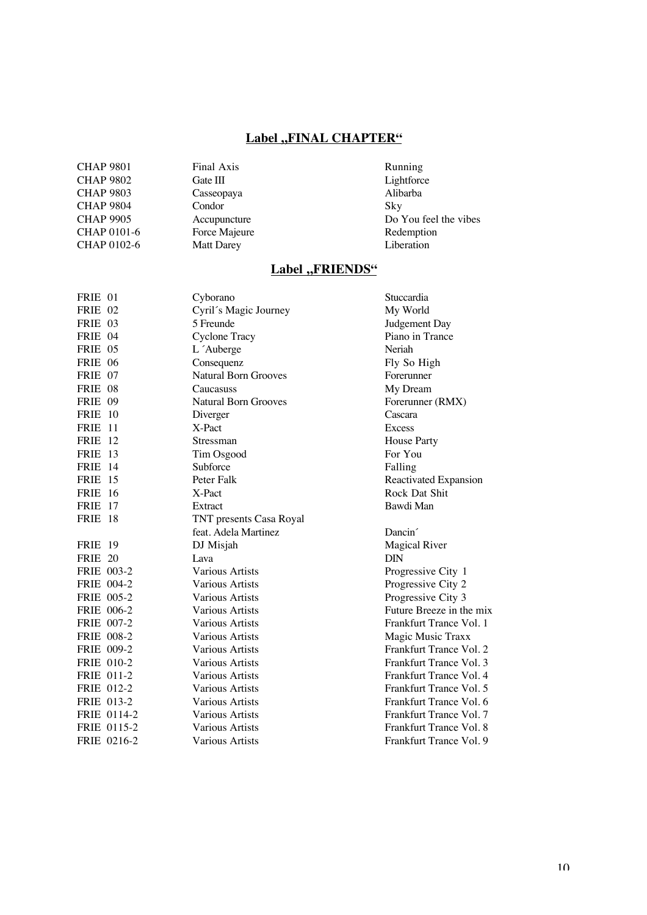## **Label ,,FINAL CHAPTER"**

| <b>CHAP 9802</b><br>Lightforce<br>Gate III<br><b>CHAP 9803</b><br>Alibarba<br>Casseopaya<br><b>CHAP 9804</b><br>Condor<br>Sky<br><b>CHAP 9905</b><br>Accupuncture<br>CHAP 0101-6<br>Force Majeure<br>Redemption<br>CHAP 0102-6<br>Liberation<br><b>Matt Darey</b> | <b>CHAP 9801</b> | Final Axis | Running               |
|-------------------------------------------------------------------------------------------------------------------------------------------------------------------------------------------------------------------------------------------------------------------|------------------|------------|-----------------------|
|                                                                                                                                                                                                                                                                   |                  |            |                       |
|                                                                                                                                                                                                                                                                   |                  |            |                       |
|                                                                                                                                                                                                                                                                   |                  |            |                       |
|                                                                                                                                                                                                                                                                   |                  |            | Do You feel the vibes |
|                                                                                                                                                                                                                                                                   |                  |            |                       |
|                                                                                                                                                                                                                                                                   |                  |            |                       |

## Label "FRIENDS"

| FRIE 01        |                   | Cyborano                    | Stuccardia               |
|----------------|-------------------|-----------------------------|--------------------------|
| FRIE 02        |                   | Cyril's Magic Journey       | My World                 |
| FRIE 03        |                   | 5 Freunde                   | Judgement Day            |
| FRIE 04        |                   | <b>Cyclone Tracy</b>        | Piano in Trance          |
| FRIE 05        |                   | L 'Auberge                  | Neriah                   |
| <b>FRIE 06</b> |                   | Consequenz                  | Fly So High              |
| FRIE 07        |                   | <b>Natural Born Grooves</b> | Forerunner               |
| FRIE 08        |                   | Caucasuss                   | My Dream                 |
| FRIE 09        |                   | <b>Natural Born Grooves</b> | Forerunner (RMX)         |
| FRIE 10        |                   | Diverger                    | Cascara                  |
| FRIE 11        |                   | X-Pact                      | <b>Excess</b>            |
| <b>FRIE</b> 12 |                   | Stressman                   | <b>House Party</b>       |
| <b>FRIE</b> 13 |                   | Tim Osgood                  | For You                  |
| <b>FRIE</b> 14 |                   | Subforce                    | Falling                  |
| <b>FRIE</b> 15 |                   | Peter Falk                  | Reactivated Expansion    |
| <b>FRIE</b> 16 |                   | X-Pact                      | Rock Dat Shit            |
| <b>FRIE</b> 17 |                   | Extract                     | Bawdi Man                |
| <b>FRIE 18</b> |                   | TNT presents Casa Royal     |                          |
|                |                   | feat. Adela Martinez        | Dancin <sup>2</sup>      |
| <b>FRIE</b> 19 |                   | DJ Misjah                   | <b>Magical River</b>     |
| <b>FRIE 20</b> |                   | Lava                        | <b>DIN</b>               |
|                | FRIE 003-2        | <b>Various Artists</b>      | Progressive City 1       |
|                | FRIE 004-2        | <b>Various Artists</b>      | Progressive City 2       |
|                | FRIE 005-2        | <b>Various Artists</b>      | Progressive City 3       |
|                | FRIE 006-2        | <b>Various Artists</b>      | Future Breeze in the mix |
|                | FRIE 007-2        | <b>Various Artists</b>      | Frankfurt Trance Vol. 1  |
|                | <b>FRIE 008-2</b> | <b>Various Artists</b>      | Magic Music Traxx        |
|                | <b>FRIE 009-2</b> | <b>Various Artists</b>      | Frankfurt Trance Vol. 2  |
|                | <b>FRIE 010-2</b> | <b>Various Artists</b>      | Frankfurt Trance Vol. 3  |
|                | FRIE 011-2        | <b>Various Artists</b>      | Frankfurt Trance Vol. 4  |
|                | FRIE 012-2        | Various Artists             | Frankfurt Trance Vol. 5  |
|                | FRIE 013-2        | Various Artists             | Frankfurt Trance Vol. 6  |
|                | FRIE 0114-2       | <b>Various Artists</b>      | Frankfurt Trance Vol. 7  |
|                | FRIE 0115-2       | Various Artists             | Frankfurt Trance Vol. 8  |
|                | FRIE 0216-2       | <b>Various Artists</b>      | Frankfurt Trance Vol. 9  |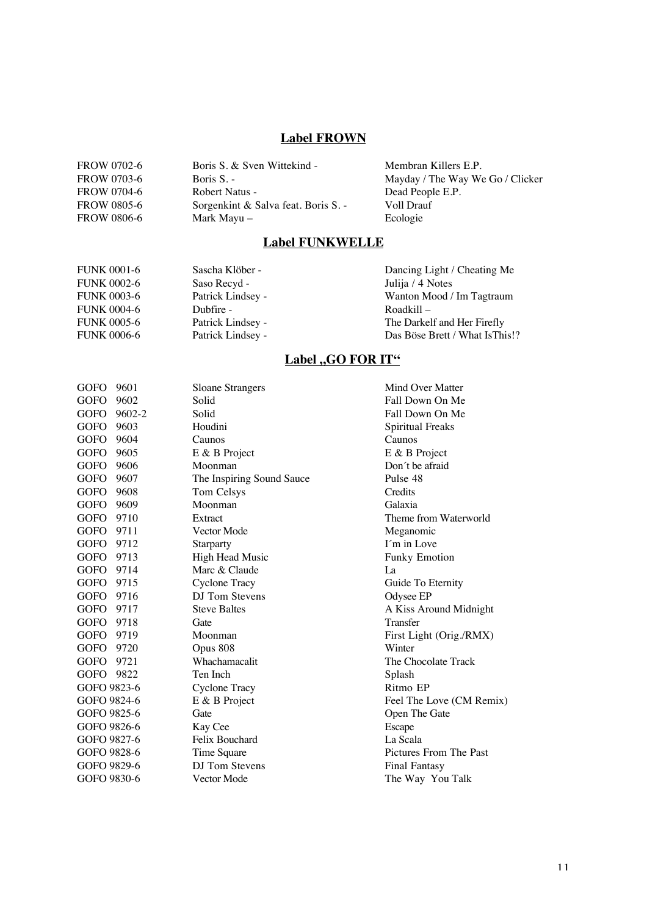## **Label FROWN**

| FROW 0702-6        | Boris S. & Sven Wittekind -       | Membran Killers E.P.             |
|--------------------|-----------------------------------|----------------------------------|
| FROW 0703-6        | Boris $S_{1}$ -                   | Mayday / The Way We Go / Clicker |
| FROW 0704-6        | Robert Natus -                    | Dead People E.P.                 |
| <b>FROW 0805-6</b> | Sorgenkint & Salva feat. Boris S. | Voll Drauf                       |
| <b>FROW 0806-6</b> | Mark Mayu –                       | Ecologie                         |
|                    |                                   |                                  |

### **Label FUNKWELLE**

| <b>FUNK 0001-6</b> | Sascha Klöber -   | Dancing Light / Cheating Me    |
|--------------------|-------------------|--------------------------------|
| <b>FUNK 0002-6</b> | Saso Recyd -      | Julija / 4 Notes               |
| <b>FUNK 0003-6</b> | Patrick Lindsey - | Wanton Mood / Im Tagtraum      |
| <b>FUNK 0004-6</b> | Dubfire -         | $Roadkill -$                   |
| <b>FUNK 0005-6</b> | Patrick Lindsey - | The Darkelf and Her Firefly    |
| <b>FUNK 0006-6</b> | Patrick Lindsey - | Das Böse Brett / What IsThis!? |

## **Label "GO FOR IT"**

| <b>GOFO</b> | 9601   | <b>Sloane Strangers</b>   | Mind Over Matter         |
|-------------|--------|---------------------------|--------------------------|
| <b>GOFO</b> | 9602   | Solid                     | Fall Down On Me          |
| GOFO        | 9602-2 | Solid                     | Fall Down On Me          |
| <b>GOFO</b> | 9603   | Houdini                   | Spiritual Freaks         |
| <b>GOFO</b> | 9604   | Caunos                    | Caunos                   |
| GOFO        | 9605   | E & B Project             | E & B Project            |
| <b>GOFO</b> | 9606   | Moonman                   | Don't be afraid          |
| <b>GOFO</b> | 9607   | The Inspiring Sound Sauce | Pulse 48                 |
| <b>GOFO</b> | 9608   | Tom Celsys                | Credits                  |
| <b>GOFO</b> | 9609   | Moonman                   | Galaxia                  |
| GOFO        | 9710   | Extract                   | Theme from Waterworld    |
| GOFO        | 9711   | Vector Mode               | Meganomic                |
| <b>GOFO</b> | 9712   | Starparty                 | I'm in Love              |
| <b>GOFO</b> | 9713   | High Head Music           | <b>Funky Emotion</b>     |
| <b>GOFO</b> | 9714   | Marc & Claude             | La                       |
| <b>GOFO</b> | 9715   | <b>Cyclone Tracy</b>      | Guide To Eternity        |
| GOFO        | 9716   | DJ Tom Stevens            | Odysee EP                |
| <b>GOFO</b> | 9717   | <b>Steve Baltes</b>       | A Kiss Around Midnight   |
| <b>GOFO</b> | 9718   | Gate                      | Transfer                 |
| GOFO        | 9719   | Moonman                   | First Light (Orig./RMX)  |
| <b>GOFO</b> | 9720   | Opus 808                  | Winter                   |
| GOFO        | 9721   | Whachamacalit             | The Chocolate Track      |
| <b>GOFO</b> | 9822   | Ten Inch                  | Splash                   |
| GOFO 9823-6 |        | <b>Cyclone Tracy</b>      | Ritmo EP                 |
| GOFO 9824-6 |        | E & B Project             | Feel The Love (CM Remix) |
| GOFO 9825-6 |        | Gate                      | Open The Gate            |
| GOFO 9826-6 |        | Kay Cee                   | Escape                   |
| GOFO 9827-6 |        | Felix Bouchard            | La Scala                 |
| GOFO 9828-6 |        | Time Square               | Pictures From The Past   |
| GOFO 9829-6 |        | DJ Tom Stevens            | <b>Final Fantasy</b>     |
| GOFO 9830-6 |        | Vector Mode               | The Way You Talk         |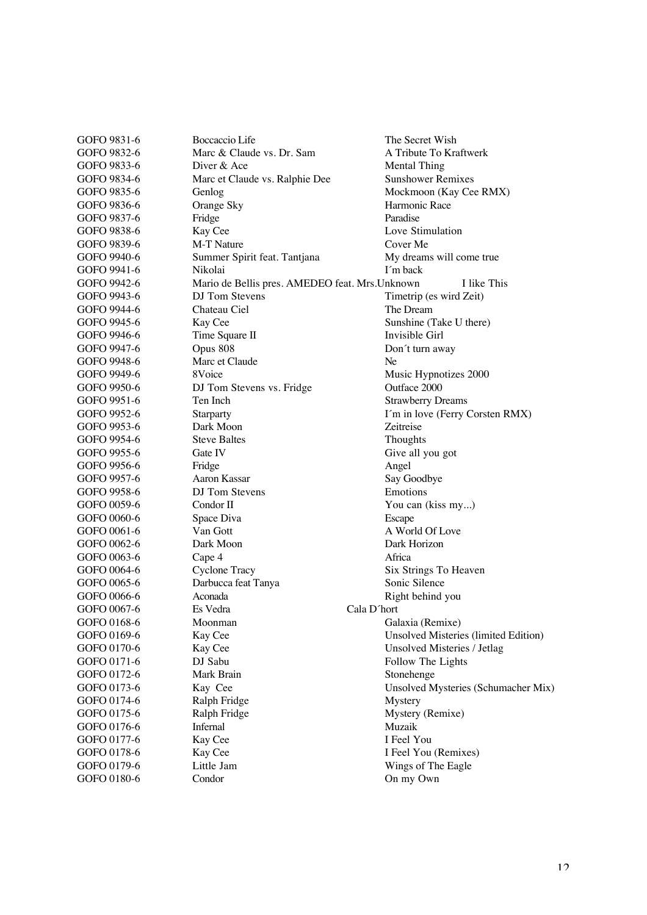| Boccaccio Life                 | The Secret Wish                                                                                                                                                                                                                                                                                                                                                                                                                                                                                                                                           |
|--------------------------------|-----------------------------------------------------------------------------------------------------------------------------------------------------------------------------------------------------------------------------------------------------------------------------------------------------------------------------------------------------------------------------------------------------------------------------------------------------------------------------------------------------------------------------------------------------------|
| Marc & Claude vs. Dr. Sam      | A Tribute To Kraftwerk                                                                                                                                                                                                                                                                                                                                                                                                                                                                                                                                    |
| Diver & Ace                    | <b>Mental Thing</b>                                                                                                                                                                                                                                                                                                                                                                                                                                                                                                                                       |
| Marc et Claude vs. Ralphie Dee | <b>Sunshower Remixes</b>                                                                                                                                                                                                                                                                                                                                                                                                                                                                                                                                  |
| Genlog                         | Mockmoon (Kay Cee RMX)                                                                                                                                                                                                                                                                                                                                                                                                                                                                                                                                    |
| Orange Sky                     | Harmonic Race                                                                                                                                                                                                                                                                                                                                                                                                                                                                                                                                             |
| Fridge                         | Paradise                                                                                                                                                                                                                                                                                                                                                                                                                                                                                                                                                  |
|                                | Love Stimulation                                                                                                                                                                                                                                                                                                                                                                                                                                                                                                                                          |
| M-T Nature                     | Cover Me                                                                                                                                                                                                                                                                                                                                                                                                                                                                                                                                                  |
|                                | My dreams will come true                                                                                                                                                                                                                                                                                                                                                                                                                                                                                                                                  |
| Nikolai                        | I'm back                                                                                                                                                                                                                                                                                                                                                                                                                                                                                                                                                  |
|                                | I like This                                                                                                                                                                                                                                                                                                                                                                                                                                                                                                                                               |
| DJ Tom Stevens                 | Timetrip (es wird Zeit)                                                                                                                                                                                                                                                                                                                                                                                                                                                                                                                                   |
| Chateau Ciel                   | The Dream                                                                                                                                                                                                                                                                                                                                                                                                                                                                                                                                                 |
|                                | Sunshine (Take U there)                                                                                                                                                                                                                                                                                                                                                                                                                                                                                                                                   |
|                                | Invisible Girl                                                                                                                                                                                                                                                                                                                                                                                                                                                                                                                                            |
|                                | Don't turn away                                                                                                                                                                                                                                                                                                                                                                                                                                                                                                                                           |
|                                | Ne                                                                                                                                                                                                                                                                                                                                                                                                                                                                                                                                                        |
|                                | Music Hypnotizes 2000                                                                                                                                                                                                                                                                                                                                                                                                                                                                                                                                     |
|                                | Outface 2000                                                                                                                                                                                                                                                                                                                                                                                                                                                                                                                                              |
|                                | <b>Strawberry Dreams</b>                                                                                                                                                                                                                                                                                                                                                                                                                                                                                                                                  |
|                                | I'm in love (Ferry Corsten RMX)                                                                                                                                                                                                                                                                                                                                                                                                                                                                                                                           |
|                                | Zeitreise                                                                                                                                                                                                                                                                                                                                                                                                                                                                                                                                                 |
|                                | Thoughts                                                                                                                                                                                                                                                                                                                                                                                                                                                                                                                                                  |
|                                | Give all you got                                                                                                                                                                                                                                                                                                                                                                                                                                                                                                                                          |
|                                | Angel                                                                                                                                                                                                                                                                                                                                                                                                                                                                                                                                                     |
|                                | Say Goodbye                                                                                                                                                                                                                                                                                                                                                                                                                                                                                                                                               |
|                                | Emotions                                                                                                                                                                                                                                                                                                                                                                                                                                                                                                                                                  |
|                                | You can (kiss my)                                                                                                                                                                                                                                                                                                                                                                                                                                                                                                                                         |
|                                | Escape                                                                                                                                                                                                                                                                                                                                                                                                                                                                                                                                                    |
|                                | A World Of Love                                                                                                                                                                                                                                                                                                                                                                                                                                                                                                                                           |
|                                | Dark Horizon                                                                                                                                                                                                                                                                                                                                                                                                                                                                                                                                              |
|                                | Africa                                                                                                                                                                                                                                                                                                                                                                                                                                                                                                                                                    |
|                                |                                                                                                                                                                                                                                                                                                                                                                                                                                                                                                                                                           |
|                                | Six Strings To Heaven<br>Sonic Silence                                                                                                                                                                                                                                                                                                                                                                                                                                                                                                                    |
|                                |                                                                                                                                                                                                                                                                                                                                                                                                                                                                                                                                                           |
|                                | Right behind you                                                                                                                                                                                                                                                                                                                                                                                                                                                                                                                                          |
|                                | Cala D'hort                                                                                                                                                                                                                                                                                                                                                                                                                                                                                                                                               |
|                                | Galaxia (Remixe)                                                                                                                                                                                                                                                                                                                                                                                                                                                                                                                                          |
|                                | Unsolved Misteries (limited Edition)                                                                                                                                                                                                                                                                                                                                                                                                                                                                                                                      |
|                                | Unsolved Misteries / Jetlag                                                                                                                                                                                                                                                                                                                                                                                                                                                                                                                               |
|                                | Follow The Lights                                                                                                                                                                                                                                                                                                                                                                                                                                                                                                                                         |
|                                | Stonehenge                                                                                                                                                                                                                                                                                                                                                                                                                                                                                                                                                |
|                                | Unsolved Mysteries (Schumacher Mix)                                                                                                                                                                                                                                                                                                                                                                                                                                                                                                                       |
|                                | Mystery                                                                                                                                                                                                                                                                                                                                                                                                                                                                                                                                                   |
|                                | Mystery (Remixe)                                                                                                                                                                                                                                                                                                                                                                                                                                                                                                                                          |
| Infernal                       | Muzaik                                                                                                                                                                                                                                                                                                                                                                                                                                                                                                                                                    |
| Kay Cee                        | I Feel You                                                                                                                                                                                                                                                                                                                                                                                                                                                                                                                                                |
| Kay Cee                        | I Feel You (Remixes)                                                                                                                                                                                                                                                                                                                                                                                                                                                                                                                                      |
| Little Jam                     | Wings of The Eagle                                                                                                                                                                                                                                                                                                                                                                                                                                                                                                                                        |
| Condor                         | On my Own                                                                                                                                                                                                                                                                                                                                                                                                                                                                                                                                                 |
|                                | Kay Cee<br>Summer Spirit feat. Tantjana<br>Mario de Bellis pres. AMEDEO feat. Mrs. Unknown<br>Kay Cee<br>Time Square II<br>Opus 808<br>Marc et Claude<br>8Voice<br>DJ Tom Stevens vs. Fridge<br>Ten Inch<br>Starparty<br>Dark Moon<br><b>Steve Baltes</b><br>Gate IV<br>Fridge<br>Aaron Kassar<br>DJ Tom Stevens<br>Condor II<br>Space Diva<br>Van Gott<br>Dark Moon<br>Cape 4<br><b>Cyclone Tracy</b><br>Darbucca feat Tanya<br>Aconada<br>Es Vedra<br>Moonman<br>Kay Cee<br>Kay Cee<br>DJ Sabu<br>Mark Brain<br>Kay Cee<br>Ralph Fridge<br>Ralph Fridge |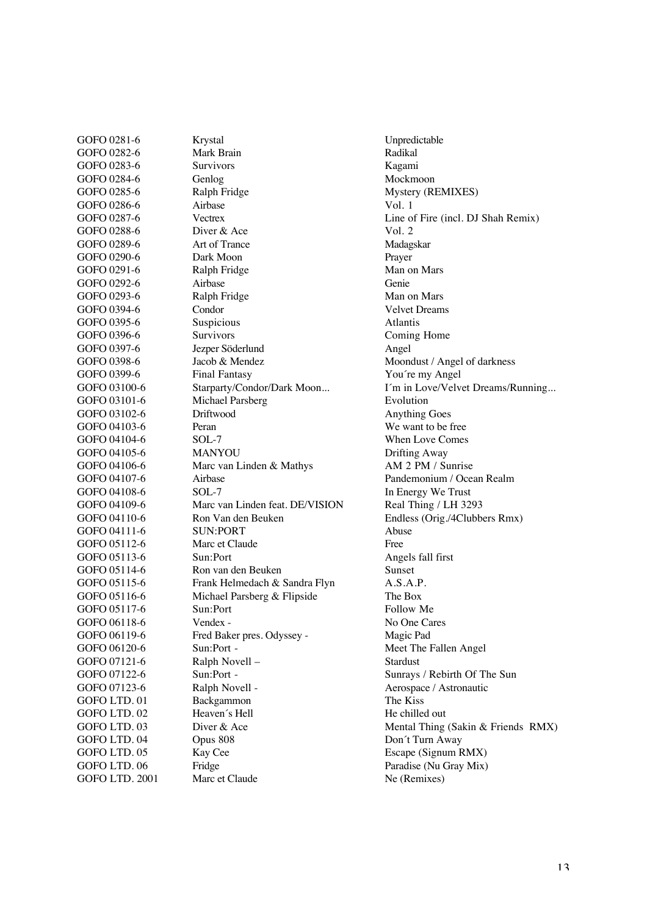GOFO 0282-6 Mark Brain Radikal GOFO 0283-6 Survivors Survivors Kagami GOFO 0284-6 Genlog General Mockmoon GOFO 0285-6 Ralph Fridge Mystery (REMIXES) GOFO 0286-6 Airbase Vol. 1 GOFO 0287-6 Vectrex Vectrex Line of Fire (incl. DJ Shah Remix) GOFO 0288-6 Diver & Ace Vol. 2 GOFO 0289-6 Art of Trance Madagskar GOFO 0290-6 Dark Moon<br>
GOFO 0291-6 Ralph Fridge National Man on Mars GOFO 0291-6 Ralph Fridge GOFO 0292-6 Airbase Genie GOFO 0293-6 Ralph Fridge Man on Mars GOFO 0394-6 Condor Condor Velvet Dreams GOFO 0395-6 Suspicious Atlantis GOFO 0396-6 Survivors Survivors Coming Home GOFO 0397-6 Jezper Söderlund Angel GOFO 0398-6 Jacob & Mendez Moondust / Angel of darkness GOFO 0399-6 Final Fantasy You're my Angel GOFO 03100-6 Starparty/Condor/Dark Moon... I'm in Love/Velvet Dreams/Running... GOFO 03101-6 Michael Parsberg Evolution GOFO 03102-6 Driftwood Anything Goes GOFO 04103-6 Peran Peran We want to be free GOFO 04104-6 SOL-7 When Love Comes GOFO 04105-6 MANYOU Drifting Away GOFO 04106-6 Marc van Linden & Mathys AM 2 PM / Sunrise GOFO 04107-6 Airbase Pandemonium / Ocean Realm GOFO 04108-6 SOL-7 In Energy We Trust<br>GOFO 04109-6 Marc van Linden feat. DE/VISION Real Thing / LH 3293 GOFO 04109-6 Marc van Linden feat. DE/VISION<br>GOFO 04110-6 Ron Van den Beuken GOFO 04110-6 Ron Van den Beuken Endless (Orig./4Clubbers Rmx) GOFO 04111-6 SUN:PORT Abuse GOFO 05112-6 Marc et Claude Free GOFO 05113-6 Sun:Port Angels fall first GOFO 05114-6 Ron van den Beuken Sunset GOFO 05115-6 Frank Helmedach & Sandra Flyn A.S.A.P. GOFO 05116-6 Michael Parsberg & Flipside The Box GOFO 05117-6 Sun:Port Sun:Port Follow Me GOFO 06118-6 Vendex - No One Cares GOFO 06119-6 Fred Baker pres. Odyssey - Magic Pad GOFO 06120-6 Sun:Port - Sun:Port - Meet The Fallen Angel GOFO 07121-6 Ralph Novell – Stardust GOFO 07122-6 Sun:Port - Sun:Port - Sunrays / Rebirth Of The Sun GOFO 07123-6 Ralph Novell - Aerospace / Astronautic GOFO LTD. 01 Backgammon Backgammon The Kiss GOFO LTD. 02 Heaven's Hell He chilled out GOFO LTD. 03 Diver & Ace Mental Thing (Sakin & Friends RMX) GOFO LTD. 04 Opus 808 Don't Turn Away GOFO LTD. 05 Kay Cee Escape (Signum RMX) GOFO LTD. 06 Fridge Paradise (Nu Gray Mix)<br>
GOFO LTD. 2001 Marc et Claude Ne (Remixes) GOFO LTD. 2001 Marc et Claude Ne (Remixes)

GOFO 0281-6 Krystal Unpredictable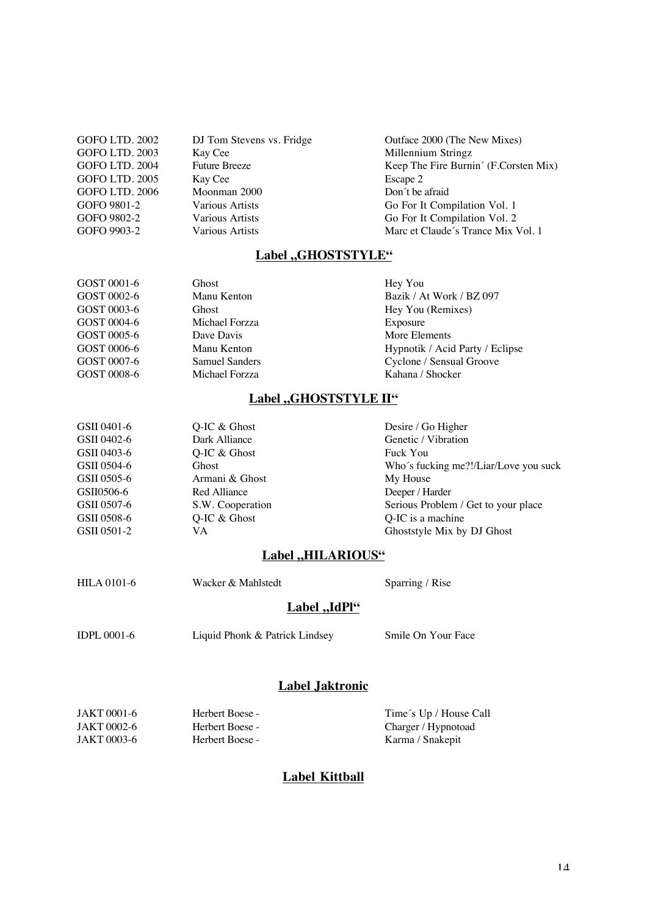| GOFO LTD. 2002        | DJ Tom Stevens vs. Fridge | Outface 2000 (The New Mixes)          |
|-----------------------|---------------------------|---------------------------------------|
| GOFO LTD. 2003        | Kay Cee                   | Millennium Stringz                    |
| GOFO LTD. 2004        | <b>Future Breeze</b>      | Keep The Fire Burnin' (F.Corsten Mix) |
| GOFO LTD. 2005        | Kay Cee                   | Escape 2                              |
| <b>GOFO LTD. 2006</b> | Moonman 2000              | Don't be afraid                       |
| GOFO 9801-2           | <b>Various Artists</b>    | Go For It Compilation Vol. 1          |
| GOFO 9802-2           | <b>Various Artists</b>    | Go For It Compilation Vol. 2          |
| GOFO 9903-2           | <b>Various Artists</b>    | Marc et Claude's Trance Mix Vol. 1    |
|                       |                           |                                       |

### Label "GHOSTSTYLE"

| GOST 0001-6 | Ghost                 | Hey You                         |
|-------------|-----------------------|---------------------------------|
| GOST 0002-6 | Manu Kenton           | Bazik / At Work / BZ 097        |
| GOST 0003-6 | <b>Ghost</b>          | Hey You (Remixes)               |
| GOST 0004-6 | Michael Forzza        | Exposure                        |
| GOST 0005-6 | Dave Davis            | More Elements                   |
| GOST 0006-6 | Manu Kenton           | Hypnotik / Acid Party / Eclipse |
| GOST 0007-6 | <b>Samuel Sanders</b> | Cyclone / Sensual Groove        |
| GOST 0008-6 | Michael Forzza        | Kahana / Shocker                |
|             |                       |                                 |

## Label "GHOSTSTYLE II"

| GSII 0401-6 | Q-IC $&$ Ghost   | Desire / Go Higher                    |
|-------------|------------------|---------------------------------------|
| GSII 0402-6 | Dark Alliance    | Genetic / Vibration                   |
| GSII 0403-6 | $O$ -IC & Ghost  | Fuck You                              |
| GSII 0504-6 | Ghost            | Who's fucking me?!/Liar/Love you suck |
| GSII 0505-6 | Armani & Ghost   | My House                              |
| GSII0506-6  | Red Alliance     | Deeper / Harder                       |
| GSII 0507-6 | S.W. Cooperation | Serious Problem / Get to your place   |
| GSII 0508-6 | Q-IC $&$ Ghost   | Q-IC is a machine                     |
| GSII 0501-2 | VA.              | Ghoststyle Mix by DJ Ghost            |
|             |                  |                                       |

### **Label ,,HILARIOUS"**

| <b>HILA</b> 0101-6 | Wacker & Mahlstedt             | Sparring / Rise    |
|--------------------|--------------------------------|--------------------|
|                    | Label "IdPl"                   |                    |
| <b>IDPL 0001-6</b> | Liquid Phonk & Patrick Lindsey | Smile On Your Face |
|                    | Label Jaktronic                |                    |

#### JAKT 0001-6 Herbert Boese - Time's Up / House Call<br>JAKT 0002-6 Herbert Boese - Charger / Hypnotoad JAKT 0002-6 Herbert Boese - Charger / Hypnotoad JAKT 0003-6 Herbert Boese - Charger / Hypnotoad Karma / Snakepit Karma / Snakepit

#### **Label Kittball**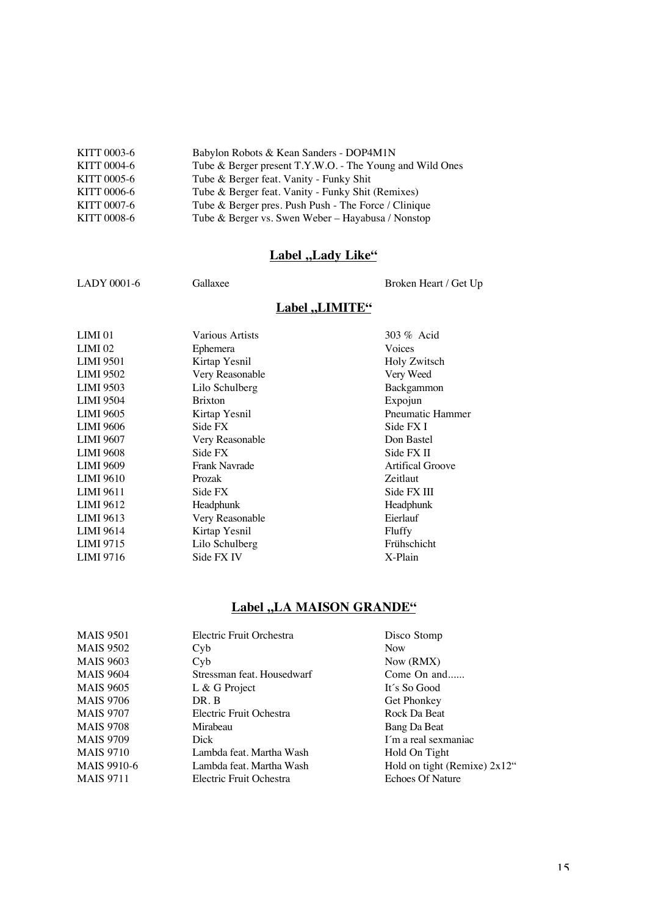| KITT 0003-6 | Babylon Robots & Kean Sanders - DOP4M1N                  |
|-------------|----------------------------------------------------------|
| KITT 0004-6 | Tube & Berger present T.Y.W.O. - The Young and Wild Ones |
| KITT 0005-6 | Tube & Berger feat. Vanity - Funky Shit                  |
| KITT 0006-6 | Tube & Berger feat. Vanity - Funky Shit (Remixes)        |
| KITT 0007-6 | Tube & Berger pres. Push Push - The Force / Clinique     |
| KITT 0008-6 | Tube & Berger vs. Swen Weber - Hayabusa / Nonstop        |

## **Label ,,Lady Like"**

LADY 0001-6 Gallaxee Gallaxee Broken Heart / Get Up

## **Label ,,LIMITE"**

| LIMI <sub>01</sub> | Various Artists | $303\%$ Acid            |
|--------------------|-----------------|-------------------------|
| $LIMI$ 02          | Ephemera        | Voices                  |
| <b>LIMI 9501</b>   | Kirtap Yesnil   | Holy Zwitsch            |
| <b>LIMI 9502</b>   | Very Reasonable | Very Weed               |
| <b>LIMI 9503</b>   | Lilo Schulberg  | Backgammon              |
| <b>LIMI 9504</b>   | <b>Brixton</b>  | Expojun                 |
| <b>LIMI 9605</b>   | Kirtap Yesnil   | <b>Pneumatic Hammer</b> |
| <b>LIMI 9606</b>   | Side FX         | Side FX I               |
| <b>LIMI 9607</b>   | Very Reasonable | Don Bastel              |
| <b>LIMI 9608</b>   | Side FX         | Side FX II              |
| <b>LIMI 9609</b>   | Frank Navrade   | <b>Artifical Groove</b> |
| <b>LIMI 9610</b>   | Prozak          | Zeitlaut                |
| LIMI 9611          | Side FX         | Side FX III             |
| <b>LIMI 9612</b>   | Headphunk       | Headphunk               |
| LIMI 9613          | Very Reasonable | Eierlauf                |
| <b>LIMI 9614</b>   | Kirtap Yesnil   | Fluffy                  |
| <b>LIMI 9715</b>   | Lilo Schulberg  | Frühschicht             |
| LIMI 9716          | Side FX IV      | X-Plain                 |
|                    |                 |                         |

## **Label "LA MAISON GRANDE"**

| <b>MAIS 9501</b> | Electric Fruit Orchestra   | Disco Stomp                     |
|------------------|----------------------------|---------------------------------|
| <b>MAIS 9502</b> | Cyb                        | <b>Now</b>                      |
| <b>MAIS 9603</b> | C <sub>V</sub> b           | Now (RMX)                       |
| <b>MAIS 9604</b> | Stressman feat. Housedwarf | Come On and                     |
| <b>MAIS 9605</b> | L & G Project              | It's So Good                    |
| <b>MAIS 9706</b> | DR. B                      | <b>Get Phonkey</b>              |
| <b>MAIS 9707</b> | Electric Fruit Ochestra    | Rock Da Beat                    |
| <b>MAIS 9708</b> | Mirabeau                   | Bang Da Beat                    |
| <b>MAIS 9709</b> | Dick                       | I'm a real sexmaniac            |
| <b>MAIS 9710</b> | Lambda feat. Martha Wash   | Hold On Tight                   |
| MAIS 9910-6      | Lambda feat. Martha Wash   | Hold on tight (Remixe) $2x12$ " |
| <b>MAIS</b> 9711 | Electric Fruit Ochestra    | <b>Echoes Of Nature</b>         |
|                  |                            |                                 |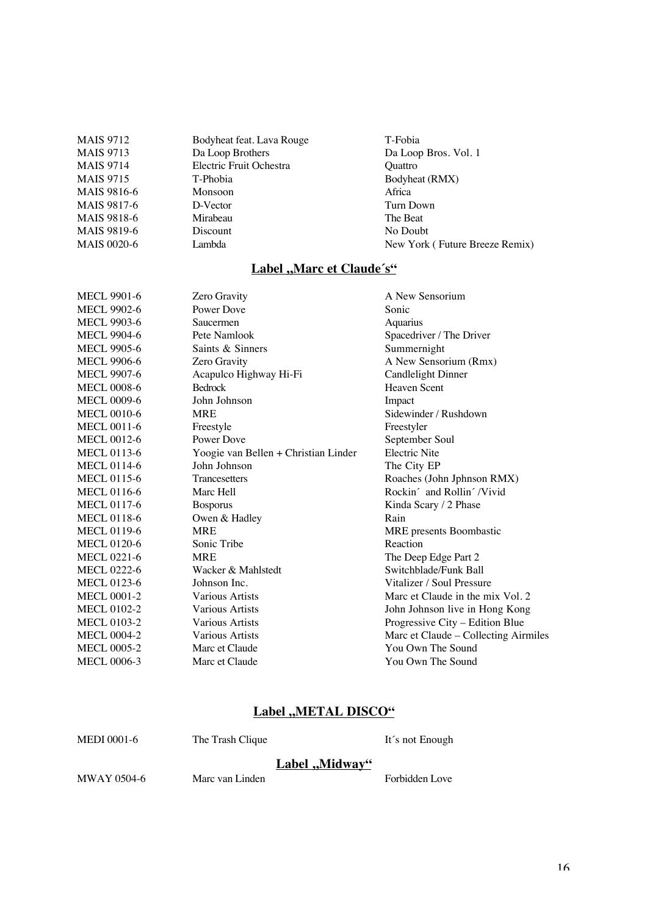| <b>MAIS</b> 9712   | Bodyheat feat. Lava Rouge | T-Fobia                        |
|--------------------|---------------------------|--------------------------------|
| <b>MAIS</b> 9713   | Da Loop Brothers          | Da Loop Bros. Vol. 1           |
| <b>MAIS 9714</b>   | Electric Fruit Ochestra   | <b>Ouattro</b>                 |
| <b>MAIS 9715</b>   | T-Phobia                  | Bodyheat (RMX)                 |
| MAIS 9816-6        | <b>Monsoon</b>            | Africa                         |
| MAIS 9817-6        | D-Vector                  | Turn Down                      |
| MAIS 9818-6        | Mirabeau                  | The Beat                       |
| MAIS 9819-6        | Discount                  | No Doubt                       |
| <b>MAIS 0020-6</b> | Lambda                    | New York (Future Breeze Remix) |
|                    |                           |                                |

## **Label ,, Marc et Claude's"**

| <b>MECL 9901-6</b> | Zero Gravity                         | A New Sensorium                      |
|--------------------|--------------------------------------|--------------------------------------|
| <b>MECL 9902-6</b> | Power Dove                           | Sonic                                |
| MECL 9903-6        | Saucermen                            | Aquarius                             |
| MECL 9904-6        | Pete Namlook                         | Spacedriver / The Driver             |
| <b>MECL 9905-6</b> | Saints & Sinners                     | Summernight                          |
| <b>MECL 9906-6</b> | Zero Gravity                         | A New Sensorium (Rmx)                |
| <b>MECL 9907-6</b> | Acapulco Highway Hi-Fi               | <b>Candlelight Dinner</b>            |
| <b>MECL 0008-6</b> | Bedrock                              | <b>Heaven Scent</b>                  |
| <b>MECL 0009-6</b> | John Johnson                         | Impact                               |
| <b>MECL 0010-6</b> | <b>MRE</b>                           | Sidewinder / Rushdown                |
| <b>MECL 0011-6</b> | Freestyle                            | Freestyler                           |
| <b>MECL 0012-6</b> | Power Dove                           | September Soul                       |
| <b>MECL 0113-6</b> | Yoogie van Bellen + Christian Linder | <b>Electric Nite</b>                 |
| <b>MECL 0114-6</b> | John Johnson                         | The City EP                          |
| <b>MECL 0115-6</b> | <b>Trancesetters</b>                 | Roaches (John Jphnson RMX)           |
| <b>MECL 0116-6</b> | Marc Hell                            | Rockin' and Rollin' /Vivid           |
| <b>MECL 0117-6</b> | <b>Bosporus</b>                      | Kinda Scary / 2 Phase                |
| <b>MECL 0118-6</b> | Owen & Hadley                        | Rain                                 |
| <b>MECL 0119-6</b> | <b>MRE</b>                           | MRE presents Boombastic              |
| <b>MECL 0120-6</b> | Sonic Tribe                          | Reaction                             |
| <b>MECL 0221-6</b> | <b>MRE</b>                           | The Deep Edge Part 2                 |
| MECL 0222-6        | Wacker & Mahlstedt                   | Switchblade/Funk Ball                |
| <b>MECL 0123-6</b> | Johnson Inc.                         | Vitalizer / Soul Pressure            |
| <b>MECL 0001-2</b> | Various Artists                      | Marc et Claude in the mix Vol. 2     |
| <b>MECL 0102-2</b> | Various Artists                      | John Johnson live in Hong Kong       |
| <b>MECL 0103-2</b> | Various Artists                      | Progressive City - Edition Blue      |
| <b>MECL 0004-2</b> | Various Artists                      | Marc et Claude - Collecting Airmiles |
| <b>MECL 0005-2</b> | Marc et Claude                       | You Own The Sound                    |
| <b>MECL 0006-3</b> | Marc et Claude                       | You Own The Sound                    |
|                    |                                      |                                      |

## **Label ,,METAL DISCO"**

|             | Label "Midway"   |                 |
|-------------|------------------|-----------------|
| MEDI 0001-6 | The Trash Clique | It's not Enough |

MWAY 0504-6 Marc van Linden Forbidden Love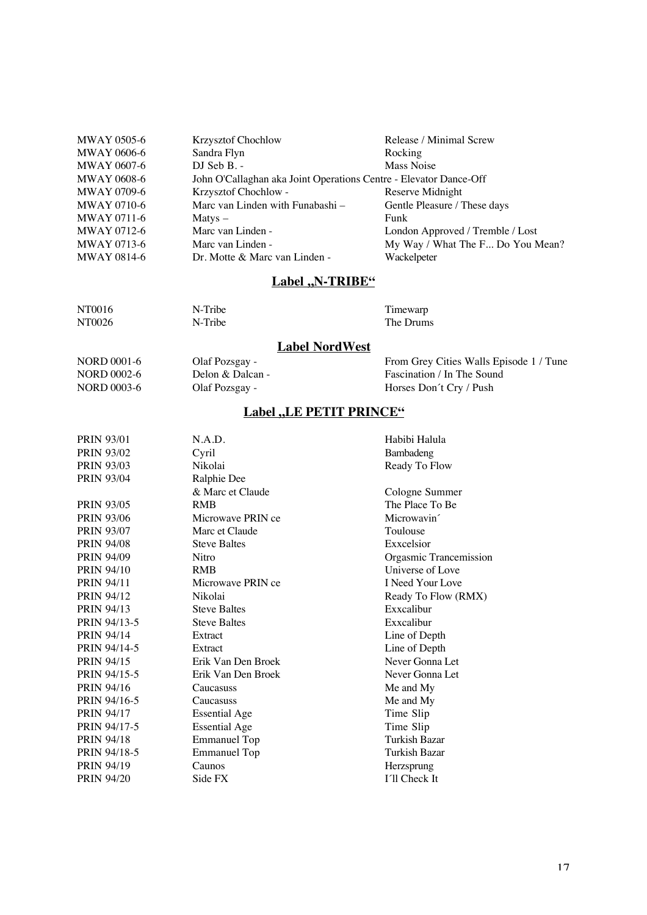| <b>MWAY 0505-6</b> | <b>Krzysztof Chochlow</b>                                         | Release / Minimal Screw          |
|--------------------|-------------------------------------------------------------------|----------------------------------|
| <b>MWAY 0606-6</b> | Sandra Flyn                                                       | Rocking                          |
| <b>MWAY 0607-6</b> | DJ Seb B. -                                                       | Mass Noise                       |
| <b>MWAY 0608-6</b> | John O'Callaghan aka Joint Operations Centre - Elevator Dance-Off |                                  |
| <b>MWAY 0709-6</b> | Krzysztof Chochlow -                                              | Reserve Midnight                 |
| <b>MWAY 0710-6</b> | Marc van Linden with Funabashi -                                  | Gentle Pleasure / These days     |
| <b>MWAY 0711-6</b> | $M$ atys $-$                                                      | Funk                             |
| MWAY 0712-6        | Marc van Linden -                                                 | London Approved / Tremble / Lost |
| <b>MWAY 0713-6</b> | Marc van Linden -                                                 | My Way / What The F Do You Mean? |
| <b>MWAY 0814-6</b> | Dr. Motte & Marc van Linden -                                     | Wackelpeter                      |
|                    |                                                                   |                                  |

## **Label ,N-TRIBE"**

| NT0016 | N-Tribe | Timewarp  |
|--------|---------|-----------|
| NT0026 | N-Tribe | The Drums |

### **Label NordWest**

NORD 0001-6 Olaf Pozsgay - From Grey Cities Walls Episode 1 / Tune<br>NORD 0002-6 Delon & Dalcan - Fascination / In The Sound NORD 0002-6 Delon & Dalcan - Fascination / In The Sound<br>
NORD 0003-6 Olaf Pozsgay - Fascination / In The Sound<br>
Horses Don't Cry / Push Horses Don´t Cry / Push

## Label "LE PETIT PRINCE"

| <b>PRIN 93/01</b> | N.A.D.               | Habibi Halula           |
|-------------------|----------------------|-------------------------|
| <b>PRIN 93/02</b> | Cyril                | Bambadeng               |
| <b>PRIN 93/03</b> | Nikolai              | Ready To Flow           |
| <b>PRIN 93/04</b> | Ralphie Dee          |                         |
|                   | & Marc et Claude     | Cologne Summer          |
| <b>PRIN 93/05</b> | <b>RMB</b>           | The Place To Be         |
| <b>PRIN 93/06</b> | Microwave PRIN ce    | Microwavin <sup>2</sup> |
| <b>PRIN 93/07</b> | Marc et Claude       | Toulouse                |
| <b>PRIN 94/08</b> | <b>Steve Baltes</b>  | Exxcelsior              |
| <b>PRIN 94/09</b> | Nitro                | Orgasmic Trancemission  |
| <b>PRIN 94/10</b> | <b>RMB</b>           | Universe of Love        |
| <b>PRIN 94/11</b> | Microwave PRIN ce    | I Need Your Love        |
| <b>PRIN 94/12</b> | Nikolai              | Ready To Flow (RMX)     |
| <b>PRIN 94/13</b> | <b>Steve Baltes</b>  | Exxcalibur              |
| PRIN 94/13-5      | <b>Steve Baltes</b>  | Exxcalibur              |
| <b>PRIN 94/14</b> | Extract              | Line of Depth           |
| PRIN 94/14-5      | Extract              | Line of Depth           |
| <b>PRIN 94/15</b> | Erik Van Den Broek   | Never Gonna Let         |
| PRIN 94/15-5      | Erik Van Den Broek   | Never Gonna Let         |
| <b>PRIN 94/16</b> | Caucasuss            | Me and My               |
| PRIN 94/16-5      | Caucasuss            | Me and My               |
| <b>PRIN 94/17</b> | <b>Essential Age</b> | Time Slip               |
| PRIN 94/17-5      | <b>Essential Age</b> | Time Slip               |
| <b>PRIN 94/18</b> | <b>Emmanuel Top</b>  | Turkish Bazar           |
| PRIN 94/18-5      | <b>Emmanuel Top</b>  | Turkish Bazar           |
| <b>PRIN 94/19</b> | Caunos               | Herzsprung              |
| <b>PRIN 94/20</b> | Side FX              | I'll Check It           |
|                   |                      |                         |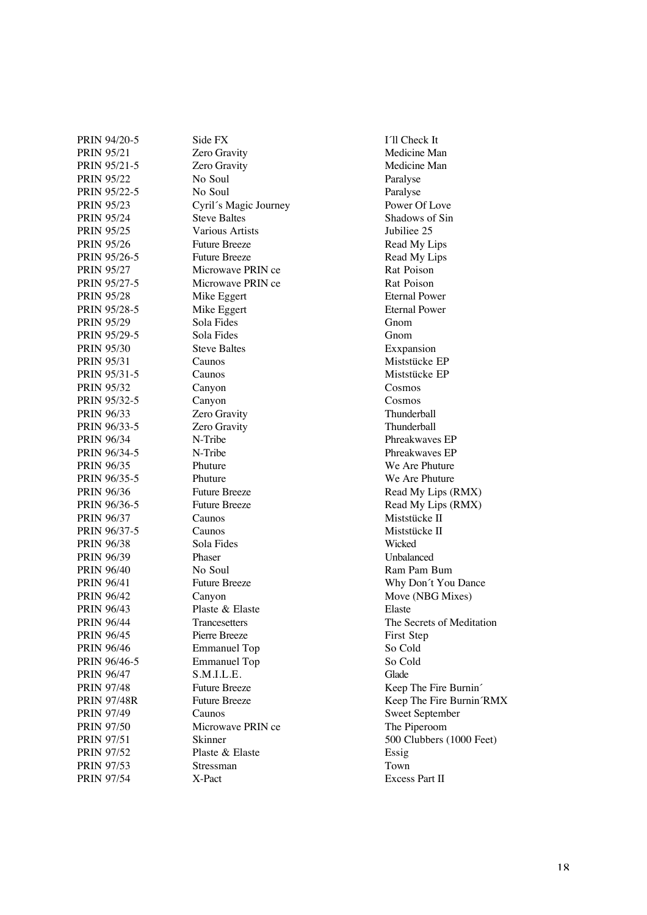PRIN 95/21 Zero Gravity Medicine Man PRIN 95/21-5 Zero Gravity **Medicine Man** PRIN 95/22 No Soul Paralyse PRIN 95/22-5 No Soul Paralyse PRIN 95/23 Cyril´s Magic Journey Power Of Love PRIN 95/24 Steve Baltes Shadows of Sin PRIN 95/25 Various Artists Jubiliee 25 PRIN 95/26 Future Breeze Read My Lips PRIN 95/26-5 Future Breeze Read My Lips<br>
PRIN 95/27 Microwave PRIN ce Rat Poison PRIN 95/27-5 Microwave PRIN ce Rat Poison PRIN 95/28 Mike Eggert Eternal Power PRIN 95/28-5 Mike Eggert Eternal Power PRIN 95/29 Sola Fides Gnom PRIN 95/29-5 Sola Fides Gnom PRIN 95/30 Steve Baltes Exxpansion PRIN 95/31 Caunos Caunos Miststücke EP PRIN 95/31-5 Caunos Caunos Miststücke EP PRIN 95/32 Canyon Cosmos PRIN 95/32-5 Canyon Cosmos PRIN 96/33 **Zero Gravity** Thunderball PRIN 96/33-5 Zero Gravity Thunderball PRIN 96/34 N-Tribe Phreakwaves EP PRIN 96/34-5 N-Tribe Phreakwaves EP PRIN 96/35 Phuture We Are Phuture PRIN 96/35-5 Phuture We Are Phuture PRIN 96/36 Future Breeze Read My Lips (RMX)<br>PRIN 96/36-5 Future Breeze Read My Lips (RMX) PRIN 96/37 Caunos Caunos Miststücke II PRIN 96/37-5 Caunos Caunos Miststücke II PRIN 96/38 Sola Fides Wicked PRIN 96/39 Phaser Phaser Unbalanced PRIN 96/40 No Soul Ram Pam Bum PRIN 96/41 Future Breeze Why Don't You Dance PRIN 96/42 Canyon Move (NBG Mixes) PRIN 96/43 Plaste & Elaste PRIN 96/44 Trancesetters The Secrets of Meditation PRIN 96/45 Pierre Breeze First Step<br>
PRIN 96/46 Emmanuel Top So Cold PRIN 96/46-5 Emmanuel Top So Cold PRIN 96/47 S.M.I.L.E. Glade PRIN 97/48 Future Breeze Keep The Fire Burnin<sup>^</sup> PRIN 97/49 Caunos Sweet September PRIN 97/50 Microwave PRIN ce The Piperoom PRIN 97/51 Skinner 500 Clubbers (1000 Feet) PRIN 97/52 Plaste & Elaste PRIN 97/53 Stressman Town PRIN 97/54 X-Pact X-Pact Excess Part II

PRIN 94/20-5 Side FX I´ll Check It Microwave PRIN ce Emmanuel Top

Read My Lips (RMX) PRIN 97/48R Future Breeze Future Breeze Keep The Fire Burnin´RMX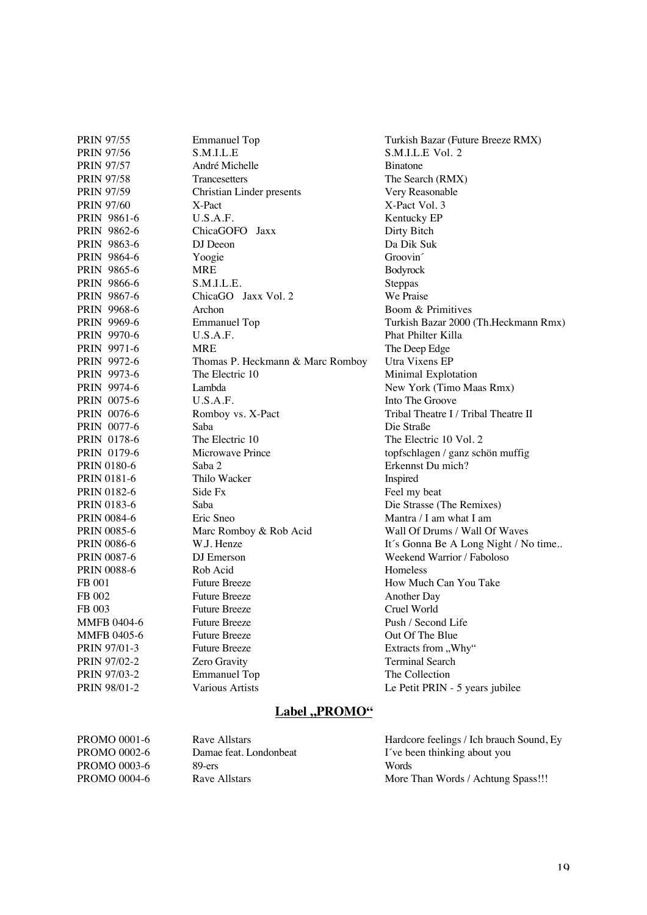| <b>PRIN 97/55</b>  | <b>Emmanuel Top</b>              | Turkish Bazar (Future Breeze RMX)    |
|--------------------|----------------------------------|--------------------------------------|
| <b>PRIN 97/56</b>  | S.M.I.L.E                        | S.M.I.L.E Vol. 2                     |
| <b>PRIN 97/57</b>  | André Michelle                   | <b>B</b> inatone                     |
| <b>PRIN 97/58</b>  | Trancesetters                    | The Search (RMX)                     |
| PRIN 97/59         | Christian Linder presents        | Very Reasonable                      |
| <b>PRIN 97/60</b>  | X-Pact                           | X-Pact Vol. 3                        |
| PRIN 9861-6        | U.S.A.F.                         | Kentucky EP                          |
| PRIN 9862-6        | ChicaGOFO Jaxx                   | Dirty Bitch                          |
| PRIN 9863-6        | DJ Deeon                         | Da Dik Suk                           |
| <b>PRIN 9864-6</b> | Yoogie                           | Groovin                              |
| PRIN 9865-6        | <b>MRE</b>                       | Bodyrock                             |
| <b>PRIN</b> 9866-6 | S.M.I.L.E.                       | Steppas                              |
| PRIN 9867-6        | ChicaGO Jaxx Vol. 2              | We Praise                            |
| <b>PRIN 9968-6</b> | Archon                           | Boom & Primitives                    |
| PRIN 9969-6        | <b>Emmanuel Top</b>              | Turkish Bazar 2000 (Th.Heckmann Rmx) |
| PRIN 9970-6        | U.S.A.F.                         | Phat Philter Killa                   |
| PRIN 9971-6        | <b>MRE</b>                       | The Deep Edge                        |
| PRIN 9972-6        | Thomas P. Heckmann & Marc Romboy | Utra Vixens EP                       |
| PRIN 9973-6        | The Electric 10                  | Minimal Explotation                  |
| PRIN 9974-6        | Lambda                           | New York (Timo Maas Rmx)             |
| PRIN 0075-6        | U.S.A.F.                         | Into The Groove                      |
| PRIN 0076-6        | Romboy vs. X-Pact                | Tribal Theatre I / Tribal Theatre II |
| PRIN 0077-6        | Saba                             | Die Straße                           |
| PRIN 0178-6        | The Electric 10                  | The Electric 10 Vol. 2               |
| PRIN 0179-6        | Microwave Prince                 | topfschlagen / ganz schön muffig     |
| <b>PRIN 0180-6</b> | Saba 2                           | Erkennst Du mich?                    |
| <b>PRIN 0181-6</b> | Thilo Wacker                     | Inspired                             |
| PRIN 0182-6        | Side Fx                          | Feel my beat                         |
| <b>PRIN 0183-6</b> | Saba                             | Die Strasse (The Remixes)            |
| <b>PRIN 0084-6</b> | Eric Sneo                        | Mantra $/$ I am what I am            |
| <b>PRIN 0085-6</b> | Marc Romboy & Rob Acid           | Wall Of Drums / Wall Of Waves        |
| <b>PRIN 0086-6</b> | W.J. Henze                       | It's Gonna Be A Long Night / No time |
| <b>PRIN 0087-6</b> | DJ Emerson                       | Weekend Warrior / Faboloso           |
| <b>PRIN 0088-6</b> | Rob Acid                         | Homeless                             |
| <b>FB 001</b>      | <b>Future Breeze</b>             | How Much Can You Take                |
| FB 002             | <b>Future Breeze</b>             | <b>Another Day</b>                   |
| FB 003             | <b>Future Breeze</b>             | Cruel World                          |
| MMFB 0404-6        | <b>Future Breeze</b>             | Push / Second Life                   |
| <b>MMFB 0405-6</b> | <b>Future Breeze</b>             | Out Of The Blue                      |
| PRIN 97/01-3       | <b>Future Breeze</b>             | Extracts from "Why"                  |
| PRIN 97/02-2       | Zero Gravity                     | <b>Terminal Search</b>               |
| PRIN 97/03-2       | <b>Emmanuel Top</b>              | The Collection                       |
| PRIN 98/01-2       | Various Artists                  | Le Petit PRIN - 5 years jubilee      |
|                    |                                  |                                      |
|                    |                                  |                                      |

## **Label ,, PROMO"**

| PROMO 0001-6 | Rave Allstars          | Hardcore feelings / Ich brauch Sound, Ey |
|--------------|------------------------|------------------------------------------|
| PROMO 0002-6 | Damae feat. Londonbeat | I've been thinking about you             |
| PROMO 0003-6 | 89-ers                 | Words                                    |
| PROMO 0004-6 | Rave Allstars          | More Than Words / Achtung Spass!!!       |
|              |                        |                                          |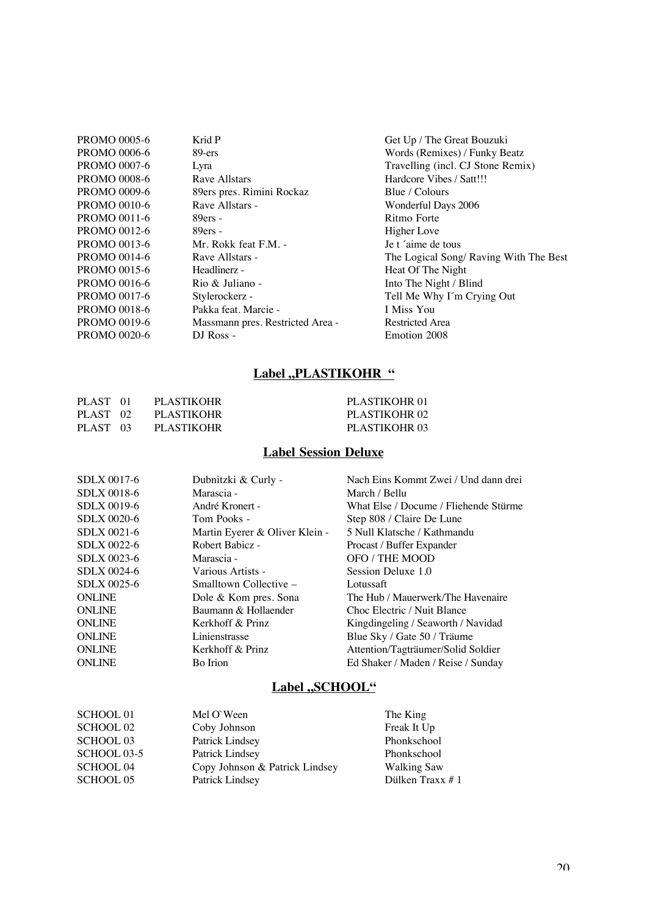| <b>PROMO 0005-6</b> | Krid P                           | Get Up / The Great Bouzuki             |
|---------------------|----------------------------------|----------------------------------------|
| <b>PROMO 0006-6</b> | 89-ers                           | Words (Remixes) / Funky Beatz          |
| <b>PROMO 0007-6</b> | Lyra                             | Travelling (incl. CJ Stone Remix)      |
| <b>PROMO 0008-6</b> | Rave Allstars                    | Hardcore Vibes / Satt!!!               |
| <b>PROMO 0009-6</b> | 89ers pres. Rimini Rockaz        | Blue / Colours                         |
| <b>PROMO 0010-6</b> | Rave Allstars -                  | Wonderful Days 2006                    |
| PROMO 0011-6        | $89$ ers -                       | Ritmo Forte                            |
| PROMO 0012-6        | $89ers -$                        | Higher Love                            |
| PROMO 0013-6        | Mr. Rokk feat F.M. -             | Je t 'aime de tous                     |
| <b>PROMO 0014-6</b> | Rave Allstars -                  | The Logical Song/ Raving With The Best |
| PROMO 0015-6        | Headlinerz -                     | Heat Of The Night                      |
| <b>PROMO 0016-6</b> | Rio & Juliano -                  | Into The Night / Blind                 |
| PROMO 0017-6        | Stylerockerz -                   | Tell Me Why I'm Crying Out             |
| <b>PROMO 0018-6</b> | Pakka feat. Marcie -             | I Miss You                             |
| PROMO 0019-6        | Massmann pres. Restricted Area - | <b>Restricted Area</b>                 |
| <b>PROMO 0020-6</b> | DJ Ross -                        | Emotion 2008                           |
|                     |                                  |                                        |

### **Label ,, PLASTIKOHR "**

| PLAST 01 | PLASTIKOHR | PLASTIKOHR 01 |
|----------|------------|---------------|
| PLAST 02 | PLASTIKOHR | PLASTIKOHR 02 |
| PLAST 03 | PLASTIKOHR | PLASTIKOHR 03 |

## **Label Session Deluxe**

| <b>SDLX 0017-6</b> | Dubnitzki & Curly -            | Nach Eins Kommt Zwei / Und dann drei  |
|--------------------|--------------------------------|---------------------------------------|
| <b>SDLX 0018-6</b> | Marascia -                     | March / Bellu                         |
| SDLX 0019-6        | André Kronert -                | What Else / Docume / Fliehende Stürme |
| <b>SDLX 0020-6</b> | Tom Pooks -                    | Step 808 / Claire De Lune             |
| SDLX 0021-6        | Martin Eyerer & Oliver Klein - | 5 Null Klatsche / Kathmandu           |
| <b>SDLX 0022-6</b> | Robert Babicz -                | Procast / Buffer Expander             |
| <b>SDLX 0023-6</b> | Marascia -                     | OFO / THE MOOD                        |
| <b>SDLX 0024-6</b> | Various Artists -              | Session Deluxe 1.0                    |
| <b>SDLX 0025-6</b> | Smalltown Collective –         | Lotussaft                             |
| <b>ONLINE</b>      | Dole & Kom pres. Sona          | The Hub / Mauerwerk/The Havenaire     |
| <b>ONLINE</b>      | Baumann & Hollaender           | Choc Electric / Nuit Blance           |
| <b>ONLINE</b>      | Kerkhoff & Prinz               | Kingdingeling / Seaworth / Navidad    |
| <b>ONLINE</b>      | Linienstrasse                  | Blue Sky / Gate 50 / Träume           |
| <b>ONLINE</b>      | Kerkhoff & Prinz               | Attention/Tagträumer/Solid Soldier    |
| <b>ONLINE</b>      | Bo Irion                       | Ed Shaker / Maden / Reise / Sunday    |
|                    |                                |                                       |

## **Label ,SCHOOL**"

| <b>SCHOOL 01</b> | Mel O'Ween                     | The King           |
|------------------|--------------------------------|--------------------|
| <b>SCHOOL 02</b> | Coby Johnson                   | Freak It Up        |
| <b>SCHOOL 03</b> | Patrick Lindsey                | Phonkschool        |
| SCHOOL 03-5      | Patrick Lindsey                | Phonkschool        |
| <b>SCHOOL 04</b> | Copy Johnson & Patrick Lindsey | <b>Walking Saw</b> |
| <b>SCHOOL 05</b> | Patrick Lindsey                | Dülken Traxx $# 1$ |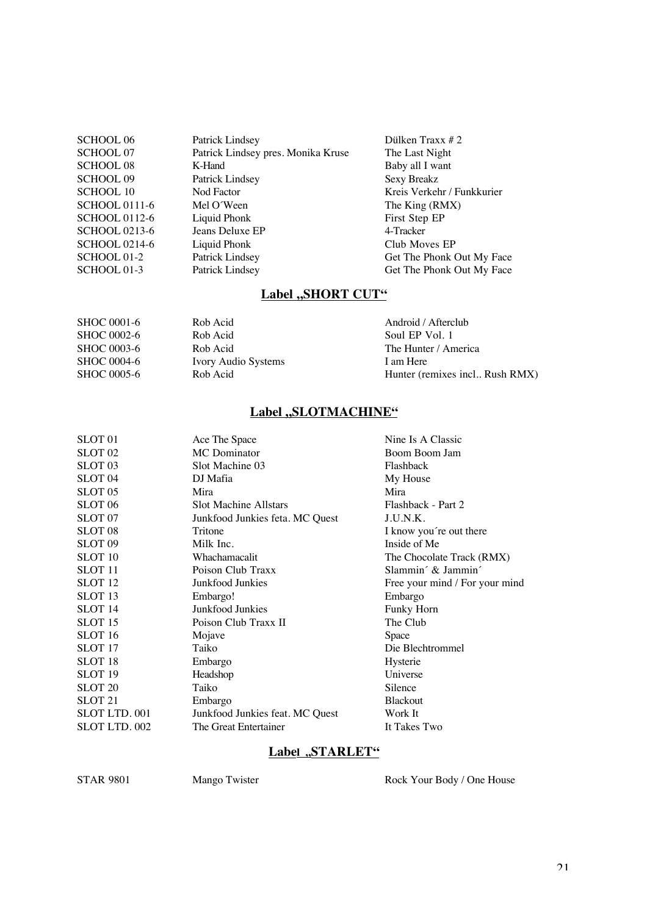| <b>SCHOOL 06</b>     | Patrick Lindsey                    | Dülken Traxx $# 2$         |
|----------------------|------------------------------------|----------------------------|
| <b>SCHOOL 07</b>     | Patrick Lindsey pres. Monika Kruse | The Last Night             |
| <b>SCHOOL 08</b>     | K-Hand                             | Baby all I want            |
| <b>SCHOOL 09</b>     | Patrick Lindsey                    | <b>Sexy Breakz</b>         |
| <b>SCHOOL 10</b>     | Nod Factor                         | Kreis Verkehr / Funkkurier |
| <b>SCHOOL 0111-6</b> | Mel O'Ween                         | The King (RMX)             |
| <b>SCHOOL 0112-6</b> | Liquid Phonk                       | First Step EP              |
| <b>SCHOOL 0213-6</b> | Jeans Deluxe EP                    | 4-Tracker                  |
| <b>SCHOOL 0214-6</b> | Liquid Phonk                       | Club Moves EP              |
| SCHOOL 01-2          | Patrick Lindsey                    | Get The Phonk Out My Face  |
| SCHOOL 01-3          | Patrick Lindsey                    | Get The Phonk Out My Face  |
|                      |                                    |                            |

## **Label ,,SHORT CUT"**

| SHOC 0001-6        | Rob Acid            | Android / Afterclub            |
|--------------------|---------------------|--------------------------------|
| <b>SHOC 0002-6</b> | Rob Acid            | Soul EP Vol. 1                 |
| SHOC 0003-6        | Rob Acid            | The Hunter / America           |
| SHOC 0004-6        | Ivory Audio Systems | I am Here                      |
| SHOC 0005-6        | Rob Acid            | Hunter (remixes incl Rush RMX) |
|                    |                     |                                |

## Label "SLOTMACHINE"

| SLOT <sub>01</sub> | Ace The Space                   | Nine Is A Classic              |
|--------------------|---------------------------------|--------------------------------|
| SLOT <sub>02</sub> | <b>MC</b> Dominator             | Boom Boom Jam                  |
| SLOT <sub>03</sub> | Slot Machine 03                 | Flashback                      |
| SLOT <sub>04</sub> | DJ Mafia                        | My House                       |
| SLOT <sub>05</sub> | Mira                            | Mira                           |
| SLOT <sub>06</sub> | <b>Slot Machine Allstars</b>    | Flashback - Part 2             |
| SLOT <sub>07</sub> | Junkfood Junkies feta. MC Quest | J.U.N.K.                       |
| SLOT <sub>08</sub> | Tritone                         | I know you're out there        |
| SLOT <sub>09</sub> | Milk Inc.                       | Inside of Me                   |
| <b>SLOT</b> 10     | Whachamacalit                   | The Chocolate Track (RMX)      |
| SLOT <sub>11</sub> | Poison Club Traxx               | Slammin' & Jammin'             |
| SLOT <sub>12</sub> | Junkfood Junkies                | Free your mind / For your mind |
| SLOT <sub>13</sub> | Embargo!                        | Embargo                        |
| SLOT <sub>14</sub> | Junkfood Junkies                | Funky Horn                     |
| SLOT <sub>15</sub> | Poison Club Traxx II            | The Club                       |
| SLOT <sub>16</sub> | Mojave                          | Space                          |
| SLOT <sub>17</sub> | Taiko                           | Die Blechtrommel               |
| SLOT <sub>18</sub> | Embargo                         | Hysterie                       |
| SLOT <sub>19</sub> | Headshop                        | Universe                       |
| SLOT <sub>20</sub> | Taiko                           | Silence                        |
| SLOT <sub>21</sub> | Embargo                         | <b>Blackout</b>                |
| SLOT LTD. 001      | Junkfood Junkies feat. MC Quest | Work It                        |
| SLOT LTD. 002      | The Great Entertainer           | It Takes Two                   |
|                    |                                 |                                |

### **Label ,STARLET"**

STAR 9801 Mango Twister Rock Your Body / One House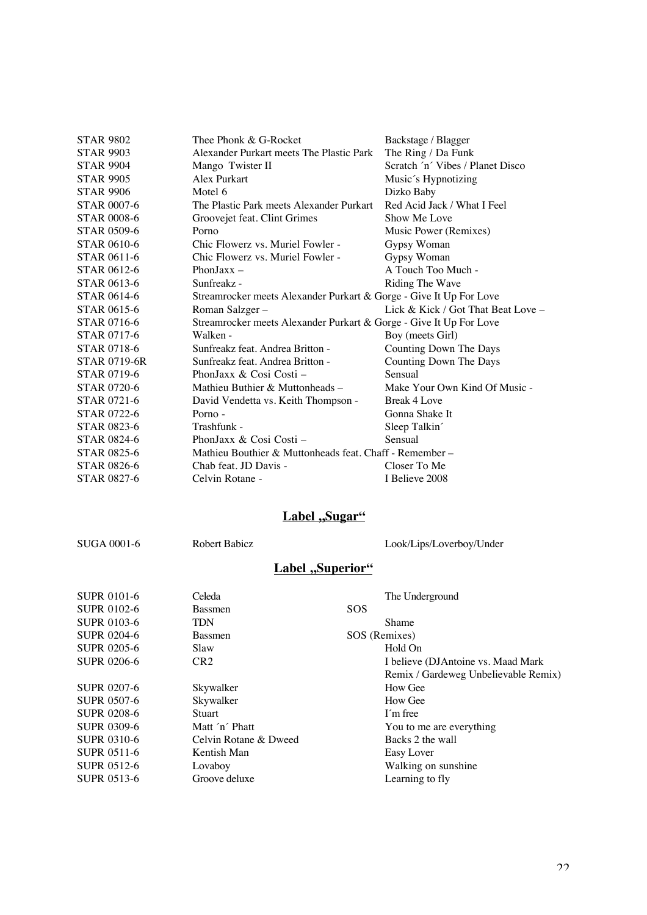| <b>STAR 9802</b>    | Thee Phonk & G-Rocket                                              | Backstage / Blagger                  |
|---------------------|--------------------------------------------------------------------|--------------------------------------|
| <b>STAR 9903</b>    | Alexander Purkart meets The Plastic Park                           | The Ring / Da Funk                   |
| <b>STAR 9904</b>    | Mango Twister II                                                   | Scratch 'n' Vibes / Planet Disco     |
| <b>STAR 9905</b>    | Alex Purkart                                                       | Music's Hypnotizing                  |
| <b>STAR 9906</b>    | Motel 6                                                            | Dizko Baby                           |
| <b>STAR 0007-6</b>  | The Plastic Park meets Alexander Purkart                           | Red Acid Jack / What I Feel          |
| <b>STAR 0008-6</b>  | Groovejet feat. Clint Grimes                                       | Show Me Love                         |
| <b>STAR 0509-6</b>  | Porno                                                              | Music Power (Remixes)                |
| STAR 0610-6         | Chic Flowerz vs. Muriel Fowler -                                   | Gypsy Woman                          |
| STAR 0611-6         | Chic Flowerz vs. Muriel Fowler -                                   | Gypsy Woman                          |
| <b>STAR 0612-6</b>  | PhonJax $x -$                                                      | A Touch Too Much -                   |
| <b>STAR 0613-6</b>  | Sunfreakz -                                                        | Riding The Wave                      |
| <b>STAR 0614-6</b>  | Streamrocker meets Alexander Purkart & Gorge - Give It Up For Love |                                      |
| STAR 0615-6         | Roman Salzger-                                                     | Lick & Kick / Got That Beat Love $-$ |
| STAR 0716-6         | Streamrocker meets Alexander Purkart & Gorge - Give It Up For Love |                                      |
| STAR 0717-6         | Walken -                                                           | Boy (meets Girl)                     |
| <b>STAR 0718-6</b>  | Sunfreakz feat. Andrea Britton -                                   | Counting Down The Days               |
| <b>STAR 0719-6R</b> | Sunfreakz feat. Andrea Britton -                                   | Counting Down The Days               |
| <b>STAR 0719-6</b>  | PhonJaxx & Cosi Costi –                                            | Sensual                              |
| STAR 0720-6         | Mathieu Buthier & Muttonheads –                                    | Make Your Own Kind Of Music -        |
| STAR 0721-6         | David Vendetta vs. Keith Thompson -                                | Break 4 Love                         |
| <b>STAR 0722-6</b>  | Porno -                                                            | Gonna Shake It                       |
| <b>STAR 0823-6</b>  | Trashfunk -                                                        | Sleep Talkin                         |
| <b>STAR 0824-6</b>  | PhonJaxx & Cosi Costi –                                            | Sensual                              |
| <b>STAR 0825-6</b>  | Mathieu Bouthier & Muttonheads feat. Chaff - Remember –            |                                      |
| <b>STAR 0826-6</b>  | Chab feat. JD Davis -                                              | Closer To Me                         |
| STAR 0827-6         | Celvin Rotane -                                                    | I Believe 2008                       |

## **Label** "Sugar"

SUGA 0001-6 Robert Babicz Look/Lips/Loverboy/Under

# **Label**, Superior"

| <b>SUPR 0101-6</b> | Celeda                | The Underground                      |
|--------------------|-----------------------|--------------------------------------|
| <b>SUPR 0102-6</b> | <b>Bassmen</b>        | <b>SOS</b>                           |
| <b>SUPR 0103-6</b> | <b>TDN</b>            | Shame                                |
| <b>SUPR 0204-6</b> | <b>Bassmen</b>        | SOS (Remixes)                        |
| <b>SUPR 0205-6</b> | Slaw                  | Hold On                              |
| <b>SUPR 0206-6</b> | CR <sub>2</sub>       | I believe (DJAntoine vs. Maad Mark)  |
|                    |                       | Remix / Gardeweg Unbelievable Remix) |
| SUPR 0207-6        | Skywalker             | How Gee                              |
| <b>SUPR 0507-6</b> | Skywalker             | How Gee                              |
| <b>SUPR 0208-6</b> | <b>Stuart</b>         | I'm free                             |
| <b>SUPR 0309-6</b> | Matt 'n' Phatt        | You to me are everything             |
| <b>SUPR 0310-6</b> | Celvin Rotane & Dweed | Backs 2 the wall                     |
| <b>SUPR 0511-6</b> | Kentish Man           | Easy Lover                           |
| <b>SUPR 0512-6</b> | Lovaboy               | Walking on sunshine                  |
| <b>SUPR 0513-6</b> | Groove deluxe         | Learning to fly                      |
|                    |                       |                                      |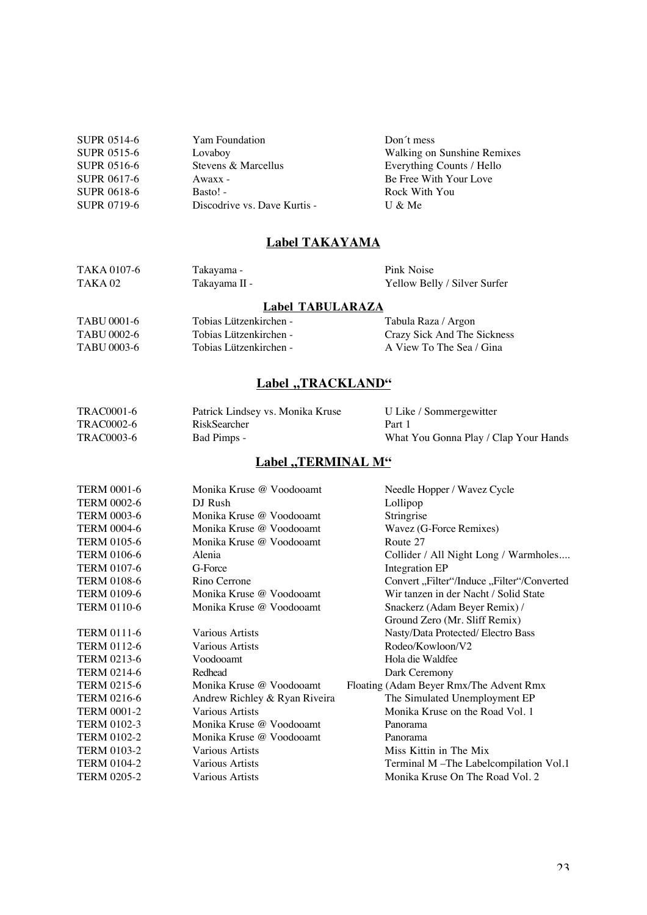| <b>SUPR 0514-6</b> | Yam Foundation               | Don't mess                  |
|--------------------|------------------------------|-----------------------------|
| <b>SUPR 0515-6</b> | Lovaboy                      | Walking on Sunshine Remixes |
| SUPR 0516-6        | Stevens & Marcellus          | Everything Counts / Hello   |
| SUPR 0617-6        | $A$ waxx -                   | Be Free With Your Love      |
| SUPR 0618-6        | $Basic!$ -                   | Rock With You               |
| SUPR 0719-6        | Discodrive vs. Dave Kurtis - | U & Me                      |
|                    |                              |                             |

#### **Label TAKAYAMA**

| TAKA 0107-6        | Takayama -    | Pink Noise                   |
|--------------------|---------------|------------------------------|
| TAKA <sub>02</sub> | Takayama II - | Yellow Belly / Silver Surfer |

#### **Label TABULARAZA**

TABU 0001-6 Tobias Lützenkirchen - Tabula Raza / Argon<br>TABU 0002-6 Tobias Lützenkirchen - Crazy Sick And The TABU 0002-6 Tobias Lützenkirchen - Crazy Sick And The Sickness<br>TABU 0003-6 Tobias Lützenkirchen - A View To The Sea / Gina Tobias Lützenkirchen - A View To The Sea / Gina

### Label "TRACKLAND"

| <b>TRAC0001-6</b> | Patrick Lindsey vs. Monika Kruse | U Like / Sommergewitter               |
|-------------------|----------------------------------|---------------------------------------|
| TRAC0002-6        | RiskSearcher                     | Part 1                                |
| TRAC0003-6        | Bad Pimps -                      | What You Gonna Play / Clap Your Hands |

#### **Label ,,TERMINAL M"**

| <b>TERM 0001-6</b> | Monika Kruse @ Voodooamt      | Needle Hopper / Wavez Cycle                |
|--------------------|-------------------------------|--------------------------------------------|
| <b>TERM 0002-6</b> | DJ Rush                       | Lollipop                                   |
| <b>TERM 0003-6</b> | Monika Kruse @ Voodooamt      | Stringrise                                 |
| <b>TERM 0004-6</b> | Monika Kruse @ Voodooamt      | Wavez (G-Force Remixes)                    |
| <b>TERM 0105-6</b> | Monika Kruse @ Voodooamt      | Route 27                                   |
| <b>TERM 0106-6</b> | Alenia                        | Collider / All Night Long / Warmholes      |
| <b>TERM 0107-6</b> | G-Force                       | Integration EP                             |
| <b>TERM 0108-6</b> | Rino Cerrone                  | Convert, Filter"/Induce, Filter"/Converted |
| <b>TERM 0109-6</b> | Monika Kruse @ Voodooamt      | Wir tanzen in der Nacht / Solid State      |
| <b>TERM 0110-6</b> | Monika Kruse @ Voodooamt      | Snackerz (Adam Beyer Remix) /              |
|                    |                               | Ground Zero (Mr. Sliff Remix)              |
| <b>TERM 0111-6</b> | Various Artists               | Nasty/Data Protected/ Electro Bass         |
| <b>TERM 0112-6</b> | <b>Various Artists</b>        | Rodeo/Kowloon/V2                           |
| <b>TERM 0213-6</b> | Voodooamt                     | Hola die Waldfee                           |
| <b>TERM 0214-6</b> | Redhead                       | Dark Ceremony                              |
| <b>TERM 0215-6</b> | Monika Kruse @ Voodooamt      | Floating (Adam Beyer Rmx/The Advent Rmx)   |
| <b>TERM 0216-6</b> | Andrew Richley & Ryan Riveira | The Simulated Unemployment EP              |
| <b>TERM 0001-2</b> | <b>Various Artists</b>        | Monika Kruse on the Road Vol. 1            |
| <b>TERM 0102-3</b> | Monika Kruse @ Voodooamt      | Panorama                                   |
| <b>TERM 0102-2</b> | Monika Kruse @ Voodooamt      | Panorama                                   |
| <b>TERM 0103-2</b> | Various Artists               | Miss Kittin in The Mix                     |
| <b>TERM 0104-2</b> | Various Artists               | Terminal M-The Labelcompilation Vol.1      |
| <b>TERM 0205-2</b> | Various Artists               | Monika Kruse On The Road Vol. 2            |
|                    |                               |                                            |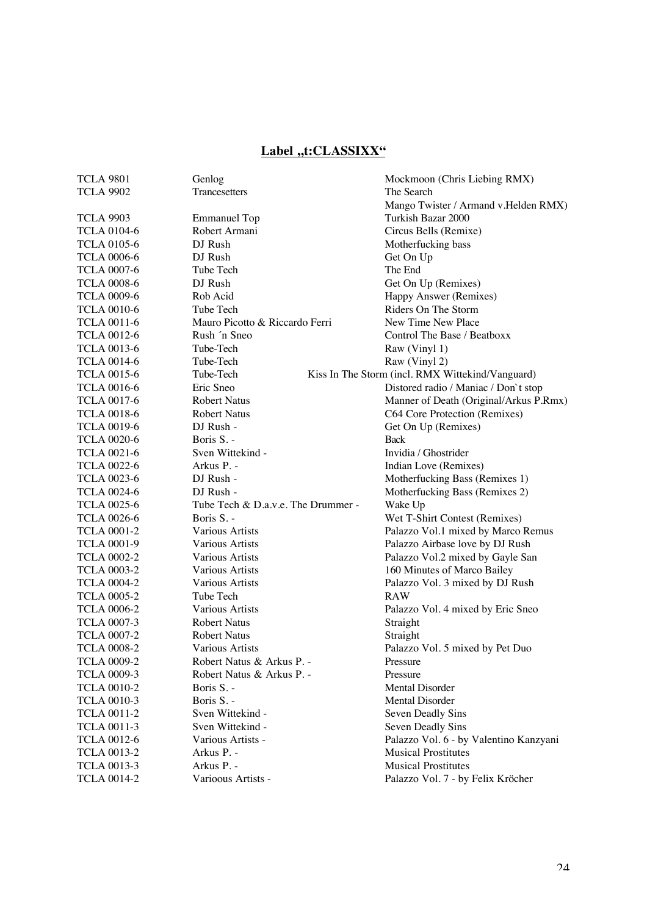## Label ,,t:CLASSIXX"

| <b>TCLA 9801</b>   | Genlog                             | Mockmoon (Chris Liebing RMX)                     |
|--------------------|------------------------------------|--------------------------------------------------|
| <b>TCLA 9902</b>   | Trancesetters                      | The Search                                       |
|                    |                                    | Mango Twister / Armand v. Helden RMX)            |
| <b>TCLA 9903</b>   | <b>Emmanuel Top</b>                | Turkish Bazar 2000                               |
| <b>TCLA 0104-6</b> | Robert Armani                      | Circus Bells (Remixe)                            |
| <b>TCLA 0105-6</b> | DJ Rush                            | Motherfucking bass                               |
| <b>TCLA 0006-6</b> | DJ Rush                            | Get On Up                                        |
| <b>TCLA 0007-6</b> | Tube Tech                          | The End                                          |
| <b>TCLA 0008-6</b> | DJ Rush                            | Get On Up (Remixes)                              |
| <b>TCLA 0009-6</b> | Rob Acid                           | Happy Answer (Remixes)                           |
| <b>TCLA 0010-6</b> | Tube Tech                          | Riders On The Storm                              |
| <b>TCLA 0011-6</b> | Mauro Picotto & Riccardo Ferri     | New Time New Place                               |
| <b>TCLA 0012-6</b> | Rush 'n Sneo                       | Control The Base / Beatboxx                      |
| <b>TCLA 0013-6</b> | Tube-Tech                          | Raw (Vinyl 1)                                    |
| <b>TCLA 0014-6</b> | Tube-Tech                          | Raw (Vinyl 2)                                    |
| <b>TCLA 0015-6</b> | Tube-Tech                          | Kiss In The Storm (incl. RMX Wittekind/Vanguard) |
| <b>TCLA 0016-6</b> | Eric Sneo                          | Distored radio / Maniac / Don't stop             |
| <b>TCLA 0017-6</b> | <b>Robert Natus</b>                | Manner of Death (Original/Arkus P.Rmx)           |
| <b>TCLA 0018-6</b> | <b>Robert Natus</b>                | C64 Core Protection (Remixes)                    |
| <b>TCLA 0019-6</b> | DJ Rush -                          | Get On Up (Remixes)                              |
| <b>TCLA 0020-6</b> | Boris S. -                         | <b>Back</b>                                      |
| <b>TCLA 0021-6</b> | Sven Wittekind -                   | Invidia / Ghostrider                             |
| <b>TCLA 0022-6</b> | Arkus P. -                         | Indian Love (Remixes)                            |
| <b>TCLA 0023-6</b> | DJ Rush -                          | Motherfucking Bass (Remixes 1)                   |
| <b>TCLA 0024-6</b> | DJ Rush -                          | Motherfucking Bass (Remixes 2)                   |
| <b>TCLA 0025-6</b> | Tube Tech & D.a.v.e. The Drummer - | Wake Up                                          |
| <b>TCLA 0026-6</b> | Boris S. -                         | Wet T-Shirt Contest (Remixes)                    |
| <b>TCLA 0001-2</b> | Various Artists                    | Palazzo Vol.1 mixed by Marco Remus               |
| <b>TCLA 0001-9</b> | Various Artists                    | Palazzo Airbase love by DJ Rush                  |
| <b>TCLA 0002-2</b> | Various Artists                    | Palazzo Vol.2 mixed by Gayle San                 |
| <b>TCLA 0003-2</b> | Various Artists                    | 160 Minutes of Marco Bailey                      |
| <b>TCLA 0004-2</b> | Various Artists                    | Palazzo Vol. 3 mixed by DJ Rush                  |
| <b>TCLA 0005-2</b> | Tube Tech                          | <b>RAW</b>                                       |
| <b>TCLA 0006-2</b> | Various Artists                    | Palazzo Vol. 4 mixed by Eric Sneo                |
| <b>TCLA 0007-3</b> | <b>Robert Natus</b>                | Straight                                         |
| <b>TCLA 0007-2</b> | <b>Robert Natus</b>                | Straight                                         |
| <b>TCLA 0008-2</b> | <b>Various Artists</b>             | Palazzo Vol. 5 mixed by Pet Duo                  |
| <b>TCLA 0009-2</b> | Robert Natus & Arkus P             | Pressure                                         |
| <b>TCLA 0009-3</b> | Robert Natus & Arkus P. -          | Pressure                                         |
| <b>TCLA 0010-2</b> | Boris S. -                         | <b>Mental Disorder</b>                           |
| <b>TCLA 0010-3</b> | Boris S. -                         | Mental Disorder                                  |
| <b>TCLA 0011-2</b> | Sven Wittekind -                   | Seven Deadly Sins                                |
| <b>TCLA 0011-3</b> | Sven Wittekind -                   | Seven Deadly Sins                                |
| <b>TCLA 0012-6</b> | Various Artists -                  | Palazzo Vol. 6 - by Valentino Kanzyani           |
| <b>TCLA 0013-2</b> | Arkus P. -                         | <b>Musical Prostitutes</b>                       |
| <b>TCLA 0013-3</b> | Arkus P. -                         | <b>Musical Prostitutes</b>                       |
| <b>TCLA 0014-2</b> | Varioous Artists -                 | Palazzo Vol. 7 - by Felix Kröcher                |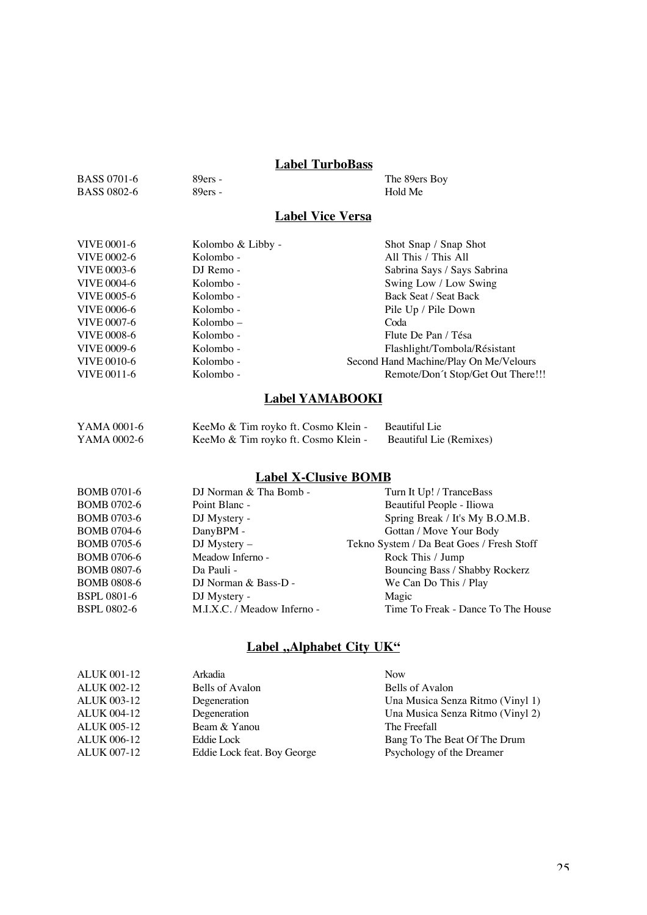## **Label TurboBass**

| BASS 0701-6        | $89ers -$ | The 89ers Boy |
|--------------------|-----------|---------------|
| <b>BASS 0802-6</b> | $89ers -$ | Hold Me       |

### **Label Vice Versa**

| VIVE 0001-6        | Kolombo & Libby - | Shot Snap / Snap Shot                  |
|--------------------|-------------------|----------------------------------------|
| VIVE 0002-6        | Kolombo -         | All This / This All                    |
| VIVE 0003-6        | DJ Remo -         | Sabrina Says / Says Sabrina            |
| VIVE 0004-6        | Kolombo -         | Swing Low / Low Swing                  |
| VIVE 0005-6        | Kolombo -         | Back Seat / Seat Back                  |
| <b>VIVE 0006-6</b> | Kolombo -         | Pile Up / Pile Down                    |
| VIVE 0007-6        | $Kolombo -$       | Coda                                   |
| <b>VIVE 0008-6</b> | Kolombo -         | Flute De Pan / Tésa                    |
| VIVE 0009-6        | Kolombo -         | Flashlight/Tombola/Résistant           |
| VIVE 0010-6        | Kolombo -         | Second Hand Machine/Play On Me/Velours |
| VIVE 0011-6        | Kolombo -         | Remote/Don't Stop/Get Out There!!!     |

## **Label YAMABOOKI**

| YAMA 0001-6 | KeeMo & Tim royko ft. Cosmo Klein - | Beautiful Lie           |
|-------------|-------------------------------------|-------------------------|
| YAMA 0002-6 | KeeMo & Tim royko ft. Cosmo Klein - | Beautiful Lie (Remixes) |

## **Label X-Clusive BOMB**

| <b>BOMB 0701-6</b> | DJ Norman & Tha Bomb -      | Turn It Up! / TranceBass                  |
|--------------------|-----------------------------|-------------------------------------------|
| <b>BOMB 0702-6</b> | Point Blanc -               | Beautiful People - Iliowa                 |
| <b>BOMB 0703-6</b> | DJ Mystery -                | Spring Break / It's My B.O.M.B.           |
| <b>BOMB 0704-6</b> | DanyBPM -                   | Gottan / Move Your Body                   |
| <b>BOMB 0705-6</b> | $DJ$ Mystery $-$            | Tekno System / Da Beat Goes / Fresh Stoff |
| <b>BOMB 0706-6</b> | Meadow Inferno -            | Rock This / Jump                          |
| <b>BOMB 0807-6</b> | Da Pauli -                  | Bouncing Bass / Shabby Rockerz            |
| <b>BOMB 0808-6</b> | DJ Norman $&$ Bass-D -      | We Can Do This / Play                     |
| <b>BSPL 0801-6</b> | DJ Mystery -                | Magic                                     |
| <b>BSPL 0802-6</b> | M.I.X.C. / Meadow Inferno - | Time To Freak - Dance To The House        |
|                    |                             |                                           |

## **Label "Alphabet City UK"**

| <b>ALUK 001-12</b> | Arkadia                     | <b>Now</b>                       |
|--------------------|-----------------------------|----------------------------------|
| <b>ALUK 002-12</b> | Bells of Avalon             | Bells of Avalon                  |
| <b>ALUK 003-12</b> | Degeneration                | Una Musica Senza Ritmo (Vinyl 1) |
| <b>ALUK 004-12</b> | Degeneration                | Una Musica Senza Ritmo (Vinyl 2) |
| <b>ALUK 005-12</b> | Beam & Yanou                | The Freefall                     |
| <b>ALUK 006-12</b> | Eddie Lock                  | Bang To The Beat Of The Drum     |
| <b>ALUK 007-12</b> | Eddie Lock feat. Boy George | Psychology of the Dreamer        |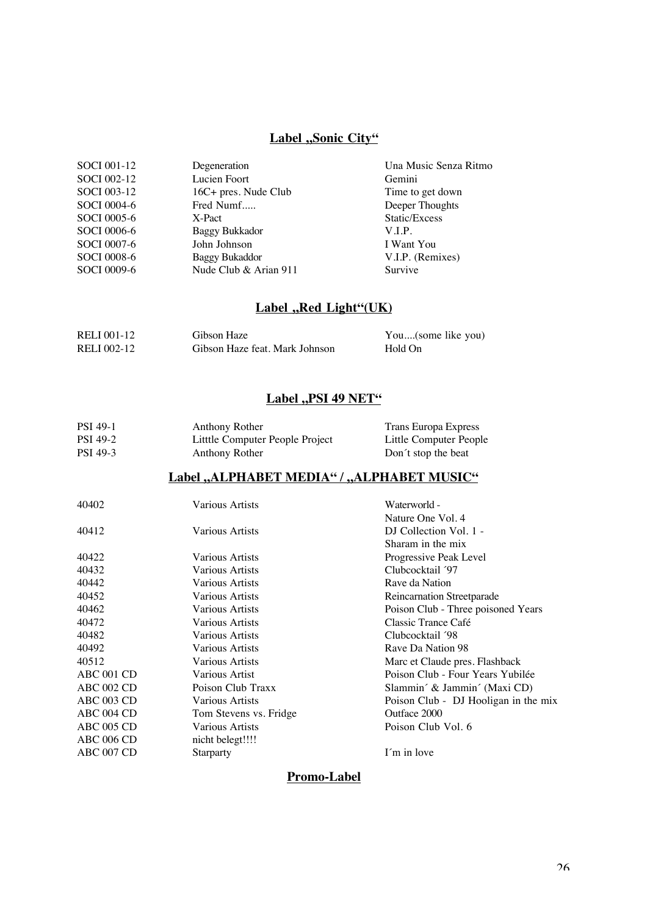## **Label ,,Sonic City"**

| SOCI 001-12 | Degeneration          | Una Music Senza Ritmo |
|-------------|-----------------------|-----------------------|
| SOCI 002-12 | Lucien Foort          | Gemini                |
| SOCI 003-12 | 16C+ pres. Nude Club  | Time to get down      |
| SOCI 0004-6 | Fred Numf             | Deeper Thoughts       |
| SOCI 0005-6 | X-Pact                | Static/Excess         |
| SOCI 0006-6 | Baggy Bukkador        | V.I.P.                |
| SOCI 0007-6 | John Johnson          | I Want You            |
| SOCI 0008-6 | <b>Baggy Bukaddor</b> | V.I.P. (Remixes)      |
| SOCI 0009-6 | Nude Club & Arian 911 | Survive               |

## Label "Red Light"(UK)

| RELI 001-12 | Gibson Haze                    | You(some like you) |
|-------------|--------------------------------|--------------------|
| RELI 002-12 | Gibson Haze feat. Mark Johnson | Hold On            |

### **Label ,, PSI 49 NET"**

| <b>PSI</b> 49-1 | Anthony Rother                  | Trans Europa Express   |
|-----------------|---------------------------------|------------------------|
| <b>PSI 49-2</b> | Litttle Computer People Project | Little Computer People |
| PSI 49-3        | Anthony Rother                  | Don't stop the beat    |

## Label "ALPHABET MEDIA" / "ALPHABET MUSIC"

| 40402             | Various Artists        | Waterworld -                         |
|-------------------|------------------------|--------------------------------------|
|                   |                        | Nature One Vol. 4                    |
| 40412             | <b>Various Artists</b> | DJ Collection Vol. 1 -               |
|                   |                        | Sharam in the mix.                   |
| 40422             | Various Artists        | Progressive Peak Level               |
| 40432             | Various Artists        | Clubcocktail '97                     |
| 40442             | Various Artists        | Rave da Nation                       |
| 40452             | Various Artists        | Reincarnation Streetparade           |
| 40462             | Various Artists        | Poison Club - Three poisoned Years   |
| 40472             | <b>Various Artists</b> | Classic Trance Café                  |
| 40482             | Various Artists        | Clubcocktail '98                     |
| 40492             | Various Artists        | Rave Da Nation 98                    |
| 40512             | Various Artists        | Marc et Claude pres. Flashback       |
| ABC 001 CD        | Various Artist         | Poison Club - Four Years Yubilée     |
| <b>ABC 002 CD</b> | Poison Club Traxx      | Slammin´ & Jammin´ (Maxi CD)         |
| ABC 003 CD        | Various Artists        | Poison Club - DJ Hooligan in the mix |
| ABC 004 CD        | Tom Stevens vs. Fridge | Outface 2000                         |
| <b>ABC 005 CD</b> | Various Artists        | Poison Club Vol. 6                   |
| <b>ABC 006 CD</b> | nicht belegt!!!!       |                                      |
| ABC 007 CD        | <b>Starparty</b>       | I'm in love                          |
|                   |                        |                                      |

### **Promo-Label**